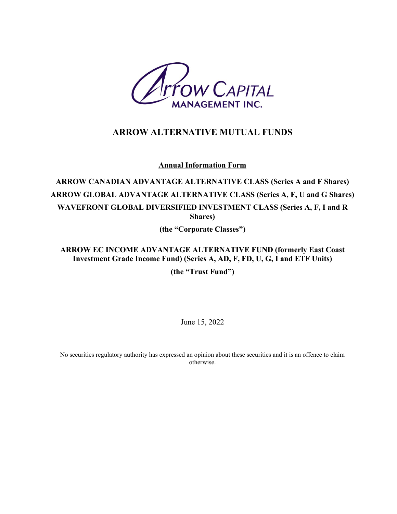

# **ARROW ALTERNATIVE MUTUAL FUNDS**

**Annual Information Form**

**ARROW CANADIAN ADVANTAGE ALTERNATIVE CLASS (Series A and F Shares) ARROW GLOBAL ADVANTAGE ALTERNATIVE CLASS (Series A, F, U and G Shares) WAVEFRONT GLOBAL DIVERSIFIED INVESTMENT CLASS (Series A, F, I and R Shares)** 

**(the "Corporate Classes")**

**ARROW EC INCOME ADVANTAGE ALTERNATIVE FUND (formerly East Coast Investment Grade Income Fund) (Series A, AD, F, FD, U, G, I and ETF Units)**

**(the "Trust Fund")**

June 15, 2022

No securities regulatory authority has expressed an opinion about these securities and it is an offence to claim otherwise.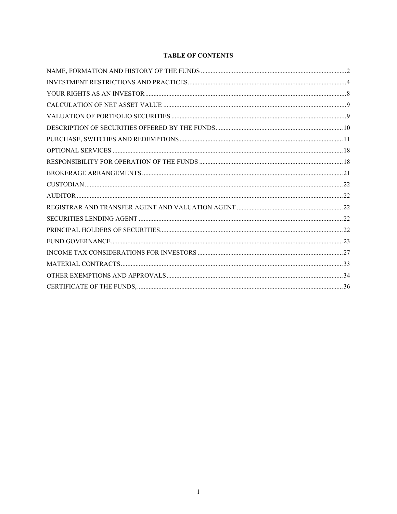## **TABLE OF CONTENTS**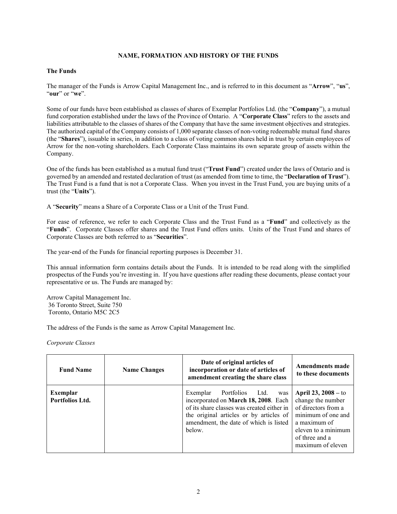## **NAME, FORMATION AND HISTORY OF THE FUNDS**

#### <span id="page-2-0"></span>**The Funds**

The manager of the Funds is Arrow Capital Management Inc., and is referred to in this document as "**Arrow**", "**us**", "**our**" or "**we**".

Some of our funds have been established as classes of shares of Exemplar Portfolios Ltd. (the "**Company**"), a mutual fund corporation established under the laws of the Province of Ontario. A "**Corporate Class**" refers to the assets and liabilities attributable to the classes of shares of the Company that have the same investment objectives and strategies. The authorized capital of the Company consists of 1,000 separate classes of non-voting redeemable mutual fund shares (the "**Shares**"), issuable in series, in addition to a class of voting common shares held in trust by certain employees of Arrow for the non-voting shareholders. Each Corporate Class maintains its own separate group of assets within the Company.

One of the funds has been established as a mutual fund trust ("**Trust Fund**") created under the laws of Ontario and is governed by an amended and restated declaration of trust (as amended from time to time, the "**Declaration of Trust**"). The Trust Fund is a fund that is not a Corporate Class. When you invest in the Trust Fund, you are buying units of a trust (the "**Units**").

A "**Security**" means a Share of a Corporate Class or a Unit of the Trust Fund.

For ease of reference, we refer to each Corporate Class and the Trust Fund as a "**Fund**" and collectively as the "**Funds**". Corporate Classes offer shares and the Trust Fund offers units. Units of the Trust Fund and shares of Corporate Classes are both referred to as "**Securities**".

The year-end of the Funds for financial reporting purposes is December 31.

This annual information form contains details about the Funds. It is intended to be read along with the simplified prospectus of the Funds you're investing in. If you have questions after reading these documents, please contact your representative or us. The Funds are managed by:

Arrow Capital Management Inc. 36 Toronto Street, Suite 750 Toronto, Ontario M5C 2C5

The address of the Funds is the same as Arrow Capital Management Inc.

*Corporate Classes*

| <b>Fund Name</b>            | <b>Name Changes</b> | Date of original articles of<br>incorporation or date of articles of<br>amendment creating the share class                                                                                                              | <b>Amendments made</b><br>to these documents                                                                                                                          |
|-----------------------------|---------------------|-------------------------------------------------------------------------------------------------------------------------------------------------------------------------------------------------------------------------|-----------------------------------------------------------------------------------------------------------------------------------------------------------------------|
| Exemplar<br>Portfolios Ltd. |                     | Portfolios Ltd.<br>Exemplar<br>was<br>incorporated on March 18, 2008. Each<br>of its share classes was created either in<br>the original articles or by articles of<br>amendment, the date of which is listed<br>below. | April $23, 2008 -$ to<br>change the number<br>of directors from a<br>minimum of one and<br>a maximum of<br>eleven to a minimum<br>of three and a<br>maximum of eleven |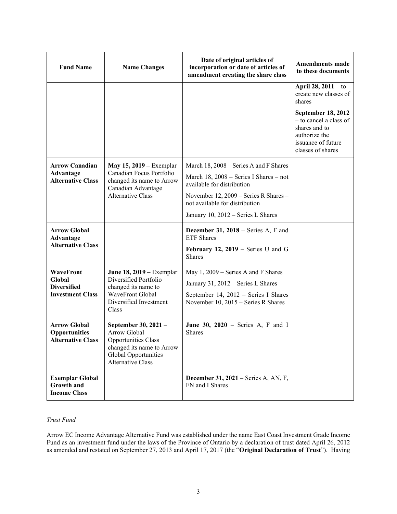| <b>Fund Name</b>                                                        | <b>Name Changes</b>                                                                                                                          | Date of original articles of<br>incorporation or date of articles of<br>amendment creating the share class                                                                                                                        | <b>Amendments made</b><br>to these documents                                                        |
|-------------------------------------------------------------------------|----------------------------------------------------------------------------------------------------------------------------------------------|-----------------------------------------------------------------------------------------------------------------------------------------------------------------------------------------------------------------------------------|-----------------------------------------------------------------------------------------------------|
|                                                                         |                                                                                                                                              |                                                                                                                                                                                                                                   | April 28, 2011 - to<br>create new classes of<br>shares<br><b>September 18, 2012</b>                 |
|                                                                         |                                                                                                                                              |                                                                                                                                                                                                                                   | - to cancel a class of<br>shares and to<br>authorize the<br>issuance of future<br>classes of shares |
| <b>Arrow Canadian</b><br><b>Advantage</b><br><b>Alternative Class</b>   | May 15, 2019 – Exemplar<br>Canadian Focus Portfolio<br>changed its name to Arrow<br>Canadian Advantage<br><b>Alternative Class</b>           | March 18, 2008 – Series A and F Shares<br>March 18, $2008$ – Series I Shares – not<br>available for distribution<br>November 12, 2009 – Series R Shares –<br>not available for distribution<br>January 10, 2012 - Series L Shares |                                                                                                     |
| <b>Arrow Global</b><br>Advantage<br><b>Alternative Class</b>            |                                                                                                                                              | December 31, 2018 - Series A, F and<br><b>ETF</b> Shares<br>February 12, 2019 – Series U and G<br><b>Shares</b>                                                                                                                   |                                                                                                     |
| WaveFront<br>Global<br><b>Diversified</b><br><b>Investment Class</b>    | <b>June 18, 2019</b> – Exemplar<br>Diversified Portfolio<br>changed its name to<br>WaveFront Global<br>Diversified Investment<br>Class       | May 1, 2009 - Series A and F Shares<br>January 31, 2012 - Series L Shares<br>September 14, 2012 - Series I Shares<br>November 10, 2015 - Series R Shares                                                                          |                                                                                                     |
| <b>Arrow Global</b><br><b>Opportunities</b><br><b>Alternative Class</b> | September 30, 2021 -<br>Arrow Global<br>Opportunities Class<br>changed its name to Arrow<br>Global Opportunities<br><b>Alternative Class</b> | June 30, $2020$ – Series A, F and I<br>Shares                                                                                                                                                                                     |                                                                                                     |
| <b>Exemplar Global</b><br><b>Growth and</b><br><b>Income Class</b>      |                                                                                                                                              | <b>December 31, 2021</b> – Series A, AN, F,<br>FN and I Shares                                                                                                                                                                    |                                                                                                     |

## *Trust Fund*

Arrow EC Income Advantage Alternative Fund was established under the name East Coast Investment Grade Income Fund as an investment fund under the laws of the Province of Ontario by a declaration of trust dated April 26, 2012 as amended and restated on September 27, 2013 and April 17, 2017 (the "**Original Declaration of Trust**"). Having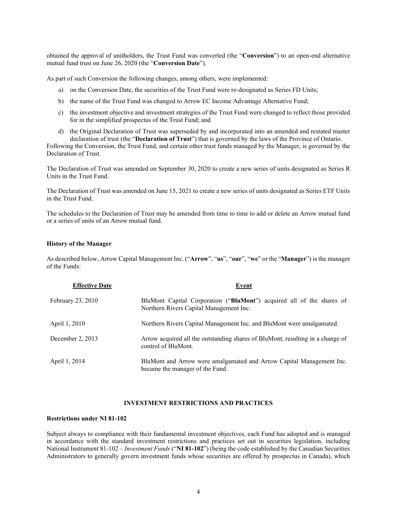obtained the approval of unitholders, the Trust Fund was converted (the "**Conversion**") to an open-end alternative mutual fund trust on June 26, 2020 (the "**Conversion Date**").

As part of such Conversion the following changes, among others, were implemented:

- a) on the Conversion Date, the securities of the Trust Fund were re-designated as Series FD Units;
- b) the name of the Trust Fund was changed to Arrow EC Income Advantage Alternative Fund;
- c) the investment objective and investment strategies of the Trust Fund were changed to reflect those provided for in the simplified prospectus of the Trust Fund; and
- d) the Original Declaration of Trust was superseded by and incorporated into an amended and restated master declaration of trust (the "**Declaration of Trust**") that is governed by the laws of the Province of Ontario.

Following the Conversion, the Trust Fund, and certain other trust funds managed by the Manager, is governed by the Declaration of Trust.

The Declaration of Trust was amended on September 30, 2020 to create a new series of units designated as Series R Units in the Trust Fund.

The Declaration of Trust was amended on June 15, 2021 to create a new series of units designated as Series ETF Units in the Trust Fund.

The schedules to the Declaration of Trust may be amended from time to time to add or delete an Arrow mutual fund or a series of units of an Arrow mutual fund.

#### **History of the Manager**

As described below, Arrow Capital Management Inc. ("**Arrow**", "**us**", "**our**", "**we**" or the "**Manager**") is the manager of the Funds:

| <b>Effective Date</b> | <b>Event</b>                                                                                                     |
|-----------------------|------------------------------------------------------------------------------------------------------------------|
| February 23, 2010     | BluMont Capital Corporation ("BluMont") acquired all of the shares of<br>Northern Rivers Capital Management Inc. |
| April 1, 2010         | Northern Rivers Capital Management Inc. and BluMont were amalgamated.                                            |
| December 2, $2013$    | Arrow acquired all the outstanding shares of BluMont, resulting in a change of<br>control of BluMont.            |
| April 1, 2014         | BluMont and Arrow were amalgamated and Arrow Capital Management Inc.<br>became the manager of the Fund.          |

#### **INVESTMENT RESTRICTIONS AND PRACTICES**

#### <span id="page-4-0"></span>**Restrictions under NI 81-102**

Subject always to compliance with their fundamental investment objectives, each Fund has adopted and is managed in accordance with the standard investment restrictions and practices set out in securities legislation, including National Instrument 81-102 – *Investment Funds* ("**NI 81-102**") (being the code established by the Canadian Securities Administrators to generally govern investment funds whose securities are offered by prospectus in Canada), which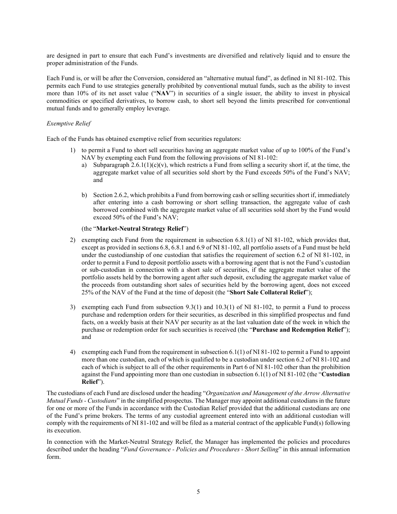are designed in part to ensure that each Fund's investments are diversified and relatively liquid and to ensure the proper administration of the Funds.

Each Fund is, or will be after the Conversion, considered an "alternative mutual fund", as defined in NI 81-102. This permits each Fund to use strategies generally prohibited by conventional mutual funds, such as the ability to invest more than 10% of its net asset value ("**NAV**") in securities of a single issuer, the ability to invest in physical commodities or specified derivatives, to borrow cash, to short sell beyond the limits prescribed for conventional mutual funds and to generally employ leverage.

## *Exemptive Relief*

Each of the Funds has obtained exemptive relief from securities regulators:

- 1) to permit a Fund to short sell securities having an aggregate market value of up to 100% of the Fund's NAV by exempting each Fund from the following provisions of NI 81-102:
	- a) Subparagraph  $2.6.1(1)(c)(v)$ , which restricts a Fund from selling a security short if, at the time, the aggregate market value of all securities sold short by the Fund exceeds 50% of the Fund's NAV; and
	- b) Section 2.6.2, which prohibits a Fund from borrowing cash or selling securities short if, immediately after entering into a cash borrowing or short selling transaction, the aggregate value of cash borrowed combined with the aggregate market value of all securities sold short by the Fund would exceed 50% of the Fund's NAV;

#### (the "**Market-Neutral Strategy Relief**")

- 2) exempting each Fund from the requirement in subsection 6.8.1(1) of NI 81-102, which provides that, except as provided in sections 6.8, 6.8.1 and 6.9 of NI 81-102, all portfolio assets of a Fund must be held under the custodianship of one custodian that satisfies the requirement of section 6.2 of NI 81-102, in order to permit a Fund to deposit portfolio assets with a borrowing agent that is not the Fund's custodian or sub-custodian in connection with a short sale of securities, if the aggregate market value of the portfolio assets held by the borrowing agent after such deposit, excluding the aggregate market value of the proceeds from outstanding short sales of securities held by the borrowing agent, does not exceed 25% of the NAV of the Fund at the time of deposit (the "**Short Sale Collateral Relief**");
- 3) exempting each Fund from subsection 9.3(1) and 10.3(1) of NI 81-102, to permit a Fund to process purchase and redemption orders for their securities, as described in this simplified prospectus and fund facts, on a weekly basis at their NAV per security as at the last valuation date of the week in which the purchase or redemption order for such securities is received (the "**Purchase and Redemption Relief**"); and
- 4) exempting each Fund from the requirement in subsection 6.1(1) of NI 81-102 to permit a Fund to appoint more than one custodian, each of which is qualified to be a custodian under section 6.2 of NI 81-102 and each of which is subject to all of the other requirements in Part 6 of NI 81-102 other than the prohibition against the Fund appointing more than one custodian in subsection 6.1(1) of NI 81-102 (the "**Custodian Relief**").

The custodians of each Fund are disclosed under the heading "*Organization and Management of the Arrow Alternative Mutual Funds - Custodians*" in the simplified prospectus. The Manager may appoint additional custodians in the future for one or more of the Funds in accordance with the Custodian Relief provided that the additional custodians are one of the Fund's prime brokers. The terms of any custodial agreement entered into with an additional custodian will comply with the requirements of NI 81-102 and will be filed as a material contract of the applicable Fund(s) following its execution.

In connection with the Market-Neutral Strategy Relief, the Manager has implemented the policies and procedures described under the heading "*Fund Governance - Policies and Procedures - Short Selling*" in this annual information form.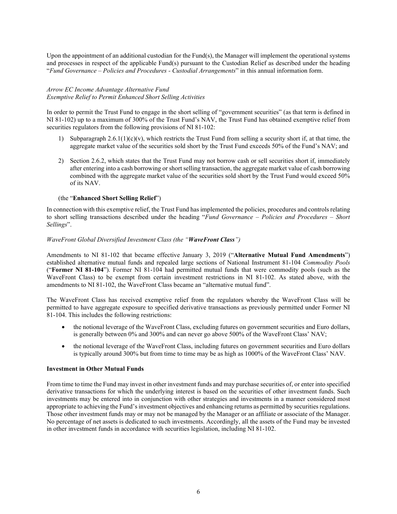Upon the appointment of an additional custodian for the Fund(s), the Manager will implement the operational systems and processes in respect of the applicable Fund(s) pursuant to the Custodian Relief as described under the heading "*Fund Governance – Policies and Procedures - Custodial Arrangements*" in this annual information form.

## *Arrow EC Income Advantage Alternative Fund Exemptive Relief to Permit Enhanced Short Selling Activities*

In order to permit the Trust Fund to engage in the short selling of "government securities" (as that term is defined in NI 81-102) up to a maximum of 300% of the Trust Fund's NAV, the Trust Fund has obtained exemptive relief from securities regulators from the following provisions of NI 81-102:

- 1) Subparagraph 2.6.1(1)(c)(v), which restricts the Trust Fund from selling a security short if, at that time, the aggregate market value of the securities sold short by the Trust Fund exceeds 50% of the Fund's NAV; and
- 2) Section 2.6.2, which states that the Trust Fund may not borrow cash or sell securities short if, immediately after entering into a cash borrowing or short selling transaction, the aggregate market value of cash borrowing combined with the aggregate market value of the securities sold short by the Trust Fund would exceed 50% of its NAV.

## (the "**Enhanced Short Selling Relief**")

In connection with this exemptive relief, the Trust Fund has implemented the policies, procedures and controls relating to short selling transactions described under the heading "*Fund Governance – Policies and Procedures – Short Sellings*".

#### *WaveFront Global Diversified Investment Class (the "WaveFront Class")*

Amendments to NI 81-102 that became effective January 3, 2019 ("**Alternative Mutual Fund Amendments**") established alternative mutual funds and repealed large sections of National Instrument 81-104 *Commodity Pools* ("**Former NI 81-104**"). Former NI 81-104 had permitted mutual funds that were commodity pools (such as the WaveFront Class) to be exempt from certain investment restrictions in NI 81-102. As stated above, with the amendments to NI 81-102, the WaveFront Class became an "alternative mutual fund".

The WaveFront Class has received exemptive relief from the regulators whereby the WaveFront Class will be permitted to have aggregate exposure to specified derivative transactions as previously permitted under Former NI 81-104. This includes the following restrictions:

- the notional leverage of the WaveFront Class, excluding futures on government securities and Euro dollars, is generally between 0% and 300% and can never go above 500% of the WaveFront Class' NAV;
- the notional leverage of the WaveFront Class, including futures on government securities and Euro dollars is typically around 300% but from time to time may be as high as 1000% of the WaveFront Class' NAV.

#### **Investment in Other Mutual Funds**

From time to time the Fund may invest in other investment funds and may purchase securities of, or enter into specified derivative transactions for which the underlying interest is based on the securities of other investment funds. Such investments may be entered into in conjunction with other strategies and investments in a manner considered most appropriate to achieving the Fund's investment objectives and enhancing returns as permitted by securities regulations. Those other investment funds may or may not be managed by the Manager or an affiliate or associate of the Manager. No percentage of net assets is dedicated to such investments. Accordingly, all the assets of the Fund may be invested in other investment funds in accordance with securities legislation, including NI 81-102.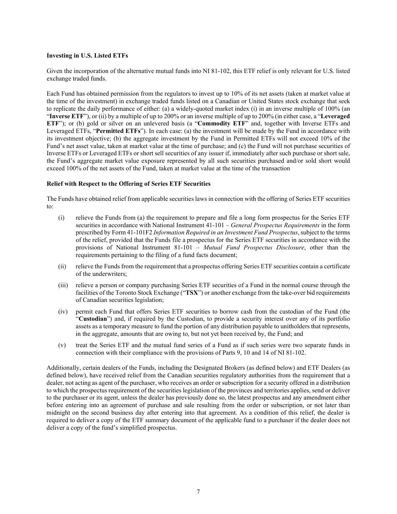#### **Investing in U.S. Listed ETFs**

Given the incorporation of the alternative mutual funds into NI 81-102, this ETF relief is only relevant for U.S. listed exchange traded funds.

Each Fund has obtained permission from the regulators to invest up to 10% of its net assets (taken at market value at the time of the investment) in exchange traded funds listed on a Canadian or United States stock exchange that seek to replicate the daily performance of either: (a) a widely-quoted market index (i) in an inverse multiple of 100% (an "**Inverse ETF**"), or (ii) by a multiple of up to 200% or an inverse multiple of up to 200% (in either case, a "**Leveraged ETF**"); or (b) gold or silver on an unlevered basis (a "**Commodity** ETF" and, together with Inverse ETFs and Leveraged ETFs, "**Permitted ETFs**"). In each case: (a) the investment will be made by the Fund in accordance with its investment objective; (b) the aggregate investment by the Fund in Permitted ETFs will not exceed 10% of the Fund's net asset value, taken at market value at the time of purchase; and (c) the Fund will not purchase securities of Inverse ETFs or Leveraged ETFs or short sell securities of any issuer if, immediately after such purchase or short sale, the Fund's aggregate market value exposure represented by all such securities purchased and/or sold short would exceed 100% of the net assets of the Fund, taken at market value at the time of the transaction

#### **Relief with Respect to the Offering of Series ETF Securities**

The Funds have obtained relief from applicable securities laws in connection with the offering of Series ETF securities to:

- (i) relieve the Funds from (a) the requirement to prepare and file a long form prospectus for the Series ETF securities in accordance with National Instrument 41-101 – *General Prospectus Requirements* in the form prescribed by Form 41-101F2 *Information Required in an Investment Fund Prospectus*, subject to the terms of the relief, provided that the Funds file a prospectus for the Series ETF securities in accordance with the provisions of National Instrument 81-101 – *Mutual Fund Prospectus Disclosure*, other than the requirements pertaining to the filing of a fund facts document;
- (ii) relieve the Funds from the requirement that a prospectus offering Series ETF securities contain a certificate of the underwriters;
- (iii) relieve a person or company purchasing Series ETF securities of a Fund in the normal course through the facilities of the Toronto Stock Exchange ("**TSX**") or another exchange from the take-over bid requirements of Canadian securities legislation;
- (iv) permit each Fund that offers Series ETF securities to borrow cash from the custodian of the Fund (the "**Custodian**") and, if required by the Custodian, to provide a security interest over any of its portfolio assets as a temporary measure to fund the portion of any distribution payable to unitholders that represents, in the aggregate, amounts that are owing to, but not yet been received by, the Fund; and
- (v) treat the Series ETF and the mutual fund series of a Fund as if such series were two separate funds in connection with their compliance with the provisions of Parts 9, 10 and 14 of NI 81-102.

Additionally, certain dealers of the Funds, including the Designated Brokers (as defined below) and ETF Dealers (as defined below), have received relief from the Canadian securities regulatory authorities from the requirement that a dealer, not acting as agent of the purchaser, who receives an order or subscription for a security offered in a distribution to which the prospectus requirement of the securities legislation of the provinces and territories applies, send or deliver to the purchaser or its agent, unless the dealer has previously done so, the latest prospectus and any amendment either before entering into an agreement of purchase and sale resulting from the order or subscription, or not later than midnight on the second business day after entering into that agreement. As a condition of this relief, the dealer is required to deliver a copy of the ETF summary document of the applicable fund to a purchaser if the dealer does not deliver a copy of the fund's simplified prospectus.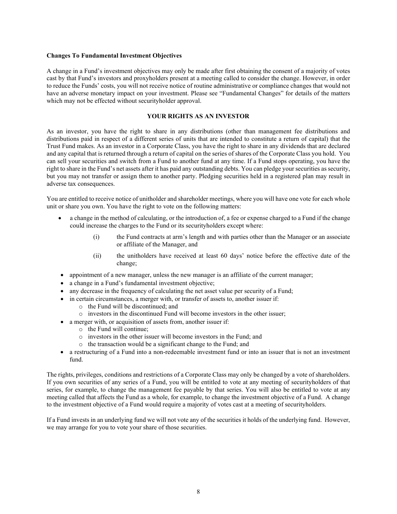#### **Changes To Fundamental Investment Objectives**

A change in a Fund's investment objectives may only be made after first obtaining the consent of a majority of votes cast by that Fund's investors and proxyholders present at a meeting called to consider the change. However, in order to reduce the Funds' costs, you will not receive notice of routine administrative or compliance changes that would not have an adverse monetary impact on your investment. Please see "Fundamental Changes" for details of the matters which may not be effected without securityholder approval.

## **YOUR RIGHTS AS AN INVESTOR**

<span id="page-8-0"></span>As an investor, you have the right to share in any distributions (other than management fee distributions and distributions paid in respect of a different series of units that are intended to constitute a return of capital) that the Trust Fund makes. As an investor in a Corporate Class, you have the right to share in any dividends that are declared and any capital that is returned through a return of capital on the series of shares of the Corporate Class you hold. You can sell your securities and switch from a Fund to another fund at any time. If a Fund stops operating, you have the right to share in the Fund's net assets after it has paid any outstanding debts. You can pledge your securities as security, but you may not transfer or assign them to another party. Pledging securities held in a registered plan may result in adverse tax consequences.

You are entitled to receive notice of unitholder and shareholder meetings, where you will have one vote for each whole unit or share you own. You have the right to vote on the following matters:

- a change in the method of calculating, or the introduction of, a fee or expense charged to a Fund if the change could increase the charges to the Fund or its securityholders except where:
	- (i) the Fund contracts at arm's length and with parties other than the Manager or an associate or affiliate of the Manager, and
	- (ii) the unitholders have received at least 60 days' notice before the effective date of the change;
- appointment of a new manager, unless the new manager is an affiliate of the current manager;
- a change in a Fund's fundamental investment objective;
- any decrease in the frequency of calculating the net asset value per security of a Fund;
- in certain circumstances, a merger with, or transfer of assets to, another issuer if:
	- o the Fund will be discontinued; and
	- o investors in the discontinued Fund will become investors in the other issuer;
- a merger with, or acquisition of assets from, another issuer if:
	- o the Fund will continue;
	- o investors in the other issuer will become investors in the Fund; and
	- o the transaction would be a significant change to the Fund; and
- a restructuring of a Fund into a non-redeemable investment fund or into an issuer that is not an investment fund.

The rights, privileges, conditions and restrictions of a Corporate Class may only be changed by a vote of shareholders. If you own securities of any series of a Fund, you will be entitled to vote at any meeting of securityholders of that series, for example, to change the management fee payable by that series. You will also be entitled to vote at any meeting called that affects the Fund as a whole, for example, to change the investment objective of a Fund. A change to the investment objective of a Fund would require a majority of votes cast at a meeting of securityholders.

If a Fund invests in an underlying fund we will not vote any of the securities it holds of the underlying fund. However, we may arrange for you to vote your share of those securities.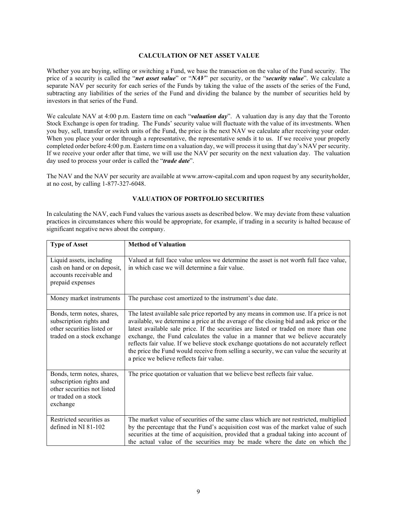## <span id="page-9-0"></span>**CALCULATION OF NET ASSET VALUE**

Whether you are buying, selling or switching a Fund, we base the transaction on the value of the Fund security. The price of a security is called the "*net asset value*" or "*NAV*" per security, or the "*security value*". We calculate a separate NAV per security for each series of the Funds by taking the value of the assets of the series of the Fund, subtracting any liabilities of the series of the Fund and dividing the balance by the number of securities held by investors in that series of the Fund.

We calculate NAV at 4:00 p.m. Eastern time on each "*valuation day*". A valuation day is any day that the Toronto Stock Exchange is open for trading. The Funds' security value will fluctuate with the value of its investments. When you buy, sell, transfer or switch units of the Fund, the price is the next NAV we calculate after receiving your order. When you place your order through a representative, the representative sends it to us. If we receive your properly completed order before 4:00 p.m. Eastern time on a valuation day, we will process it using that day's NAV per security. If we receive your order after that time, we will use the NAV per security on the next valuation day. The valuation day used to process your order is called the "*trade date*".

The NAV and the NAV per security are available at www.arrow-capital.com and upon request by any securityholder, at no cost, by calling 1-877-327-6048.

#### **VALUATION OF PORTFOLIO SECURITIES**

<span id="page-9-1"></span>In calculating the NAV, each Fund values the various assets as described below. We may deviate from these valuation practices in circumstances where this would be appropriate, for example, if trading in a security is halted because of significant negative news about the company.

| <b>Type of Asset</b>                                                                                                     | <b>Method of Valuation</b>                                                                                                                                                                                                                                                                                                                                                                                                                                                                                                                                                                |
|--------------------------------------------------------------------------------------------------------------------------|-------------------------------------------------------------------------------------------------------------------------------------------------------------------------------------------------------------------------------------------------------------------------------------------------------------------------------------------------------------------------------------------------------------------------------------------------------------------------------------------------------------------------------------------------------------------------------------------|
| Liquid assets, including<br>cash on hand or on deposit,<br>accounts receivable and<br>prepaid expenses                   | Valued at full face value unless we determine the asset is not worth full face value,<br>in which case we will determine a fair value.                                                                                                                                                                                                                                                                                                                                                                                                                                                    |
| Money market instruments                                                                                                 | The purchase cost amortized to the instrument's due date.                                                                                                                                                                                                                                                                                                                                                                                                                                                                                                                                 |
| Bonds, term notes, shares,<br>subscription rights and<br>other securities listed or<br>traded on a stock exchange        | The latest available sale price reported by any means in common use. If a price is not<br>available, we determine a price at the average of the closing bid and ask price or the<br>latest available sale price. If the securities are listed or traded on more than one<br>exchange, the Fund calculates the value in a manner that we believe accurately<br>reflects fair value. If we believe stock exchange quotations do not accurately reflect<br>the price the Fund would receive from selling a security, we can value the security at<br>a price we believe reflects fair value. |
| Bonds, term notes, shares,<br>subscription rights and<br>other securities not listed<br>or traded on a stock<br>exchange | The price quotation or valuation that we believe best reflects fair value.                                                                                                                                                                                                                                                                                                                                                                                                                                                                                                                |
| Restricted securities as<br>defined in NI 81-102                                                                         | The market value of securities of the same class which are not restricted, multiplied<br>by the percentage that the Fund's acquisition cost was of the market value of such<br>securities at the time of acquisition, provided that a gradual taking into account of<br>the actual value of the securities may be made where the date on which the                                                                                                                                                                                                                                        |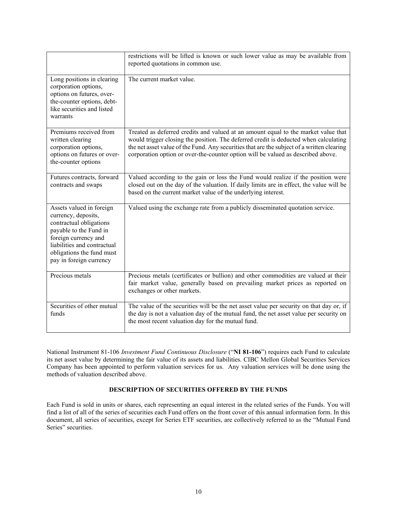|                                                                                                                                                                                                                     | restrictions will be lifted is known or such lower value as may be available from<br>reported quotations in common use.                                                                                                                                                                                                                                      |
|---------------------------------------------------------------------------------------------------------------------------------------------------------------------------------------------------------------------|--------------------------------------------------------------------------------------------------------------------------------------------------------------------------------------------------------------------------------------------------------------------------------------------------------------------------------------------------------------|
| Long positions in clearing<br>corporation options,<br>options on futures, over-<br>the-counter options, debt-<br>like securities and listed<br>warrants                                                             | The current market value.                                                                                                                                                                                                                                                                                                                                    |
| Premiums received from<br>written clearing<br>corporation options,<br>options on futures or over-<br>the-counter options                                                                                            | Treated as deferred credits and valued at an amount equal to the market value that<br>would trigger closing the position. The deferred credit is deducted when calculating<br>the net asset value of the Fund. Any securities that are the subject of a written clearing<br>corporation option or over-the-counter option will be valued as described above. |
| Futures contracts, forward<br>contracts and swaps                                                                                                                                                                   | Valued according to the gain or loss the Fund would realize if the position were<br>closed out on the day of the valuation. If daily limits are in effect, the value will be<br>based on the current market value of the underlying interest.                                                                                                                |
| Assets valued in foreign<br>currency, deposits,<br>contractual obligations<br>payable to the Fund in<br>foreign currency and<br>liabilities and contractual<br>obligations the fund must<br>pay in foreign currency | Valued using the exchange rate from a publicly disseminated quotation service.                                                                                                                                                                                                                                                                               |
| Precious metals                                                                                                                                                                                                     | Precious metals (certificates or bullion) and other commodities are valued at their<br>fair market value, generally based on prevailing market prices as reported on<br>exchanges or other markets.                                                                                                                                                          |
| Securities of other mutual<br>funds                                                                                                                                                                                 | The value of the securities will be the net asset value per security on that day or, if<br>the day is not a valuation day of the mutual fund, the net asset value per security on<br>the most recent valuation day for the mutual fund.                                                                                                                      |

National Instrument 81-106 *Investment Fund Continuous Disclosure* ("**NI 81-106**") requires each Fund to calculate its net asset value by determining the fair value of its assets and liabilities. CIBC Mellon Global Securities Services Company has been appointed to perform valuation services for us. Any valuation services will be done using the methods of valuation described above.

## **DESCRIPTION OF SECURITIES OFFERED BY THE FUNDS**

<span id="page-10-0"></span>Each Fund is sold in units or shares, each representing an equal interest in the related series of the Funds. You will find a list of all of the series of securities each Fund offers on the front cover of this annual information form. In this document, all series of securities, except for Series ETF securities, are collectively referred to as the "Mutual Fund Series" securities.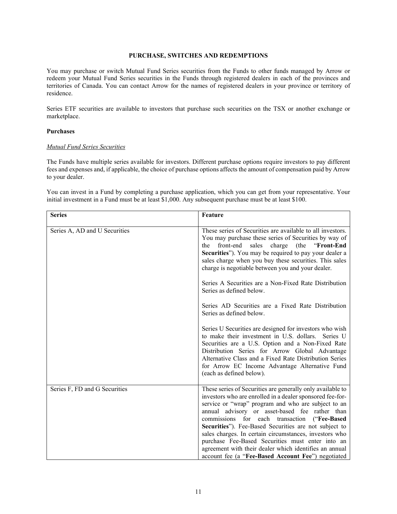#### **PURCHASE, SWITCHES AND REDEMPTIONS**

<span id="page-11-0"></span>You may purchase or switch Mutual Fund Series securities from the Funds to other funds managed by Arrow or redeem your Mutual Fund Series securities in the Funds through registered dealers in each of the provinces and territories of Canada. You can contact Arrow for the names of registered dealers in your province or territory of residence.

Series ETF securities are available to investors that purchase such securities on the TSX or another exchange or marketplace.

#### **Purchases**

## *Mutual Fund Series Securities*

The Funds have multiple series available for investors. Different purchase options require investors to pay different fees and expenses and, if applicable, the choice of purchase options affects the amount of compensation paid by Arrow to your dealer.

You can invest in a Fund by completing a purchase application, which you can get from your representative. Your initial investment in a Fund must be at least \$1,000. Any subsequent purchase must be at least \$100.

| <b>Series</b>                 | Feature                                                                                                                                                                                                                                                                                                                                                                                                                                                                                                                                                                                                                                                                                                                                                                                                             |
|-------------------------------|---------------------------------------------------------------------------------------------------------------------------------------------------------------------------------------------------------------------------------------------------------------------------------------------------------------------------------------------------------------------------------------------------------------------------------------------------------------------------------------------------------------------------------------------------------------------------------------------------------------------------------------------------------------------------------------------------------------------------------------------------------------------------------------------------------------------|
| Series A, AD and U Securities | These series of Securities are available to all investors.<br>You may purchase these series of Securities by way of<br>front-end<br>sales<br>charge<br>(the)<br>"Front-End<br>the<br>Securities"). You may be required to pay your dealer a<br>sales charge when you buy these securities. This sales<br>charge is negotiable between you and your dealer.<br>Series A Securities are a Non-Fixed Rate Distribution<br>Series as defined below.<br>Series AD Securities are a Fixed Rate Distribution<br>Series as defined below.<br>Series U Securities are designed for investors who wish<br>to make their investment in U.S. dollars. Series U<br>Securities are a U.S. Option and a Non-Fixed Rate<br>Distribution Series for Arrow Global Advantage<br>Alternative Class and a Fixed Rate Distribution Series |
|                               | for Arrow EC Income Advantage Alternative Fund<br>(each as defined below).                                                                                                                                                                                                                                                                                                                                                                                                                                                                                                                                                                                                                                                                                                                                          |
| Series F, FD and G Securities | These series of Securities are generally only available to<br>investors who are enrolled in a dealer sponsored fee-for-<br>service or "wrap" program and who are subject to an<br>annual advisory or asset-based fee rather than<br>("Fee-Based<br>commissions for each transaction<br>Securities"). Fee-Based Securities are not subject to<br>sales charges. In certain circumstances, investors who<br>purchase Fee-Based Securities must enter into an<br>agreement with their dealer which identifies an annual<br>account fee (a "Fee-Based Account Fee") negotiated                                                                                                                                                                                                                                          |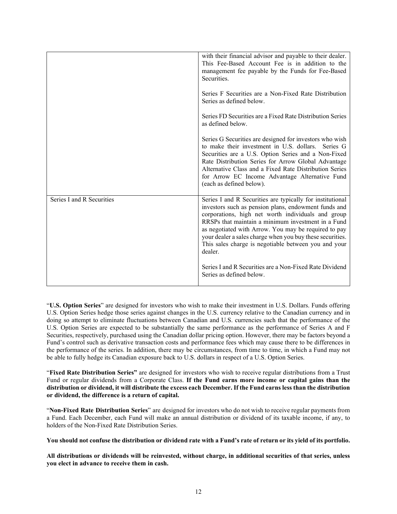|                           | with their financial advisor and payable to their dealer.<br>This Fee-Based Account Fee is in addition to the<br>management fee payable by the Funds for Fee-Based<br>Securities.<br>Series F Securities are a Non-Fixed Rate Distribution<br>Series as defined below.<br>Series FD Securities are a Fixed Rate Distribution Series<br>as defined below.                                                              |
|---------------------------|-----------------------------------------------------------------------------------------------------------------------------------------------------------------------------------------------------------------------------------------------------------------------------------------------------------------------------------------------------------------------------------------------------------------------|
|                           | Series G Securities are designed for investors who wish<br>to make their investment in U.S. dollars. Series G<br>Securities are a U.S. Option Series and a Non-Fixed<br>Rate Distribution Series for Arrow Global Advantage<br>Alternative Class and a Fixed Rate Distribution Series<br>for Arrow EC Income Advantage Alternative Fund<br>(each as defined below).                                                   |
| Series I and R Securities | Series I and R Securities are typically for institutional<br>investors such as pension plans, endowment funds and<br>corporations, high net worth individuals and group<br>RRSPs that maintain a minimum investment in a Fund<br>as negotiated with Arrow. You may be required to pay<br>your dealer a sales charge when you buy these securities.<br>This sales charge is negotiable between you and your<br>dealer. |
|                           | Series I and R Securities are a Non-Fixed Rate Dividend<br>Series as defined below.                                                                                                                                                                                                                                                                                                                                   |

"**U.S. Option Series**" are designed for investors who wish to make their investment in U.S. Dollars. Funds offering U.S. Option Series hedge those series against changes in the U.S. currency relative to the Canadian currency and in doing so attempt to eliminate fluctuations between Canadian and U.S. currencies such that the performance of the U.S. Option Series are expected to be substantially the same performance as the performance of Series A and F Securities, respectively, purchased using the Canadian dollar pricing option. However, there may be factors beyond a Fund's control such as derivative transaction costs and performance fees which may cause there to be differences in the performance of the series. In addition, there may be circumstances, from time to time, in which a Fund may not be able to fully hedge its Canadian exposure back to U.S. dollars in respect of a U.S. Option Series.

"**Fixed Rate Distribution Series"** are designed for investors who wish to receive regular distributions from a Trust Fund or regular dividends from a Corporate Class. **If the Fund earns more income or capital gains than the distribution or dividend, it will distribute the excess each December. If the Fund earns less than the distribution or dividend, the difference is a return of capital.**

"**Non-Fixed Rate Distribution Series**" are designed for investors who do not wish to receive regular paymentsfrom a Fund. Each December, each Fund will make an annual distribution or dividend of its taxable income, if any, to holders of the Non-Fixed Rate Distribution Series.

**You should not confuse the distribution or dividend rate with a Fund's rate of return or its yield of its portfolio.**

**All distributions or dividends will be reinvested, without charge, in additional securities of that series, unless you elect in advance to receive them in cash.**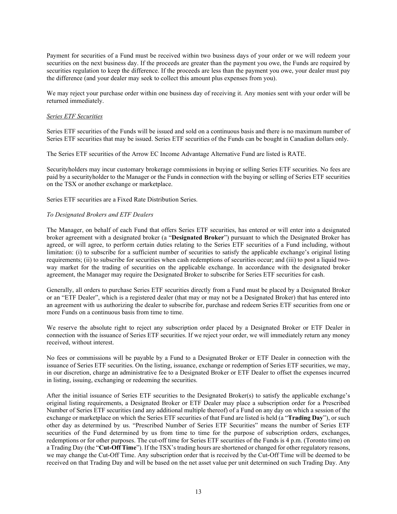Payment for securities of a Fund must be received within two business days of your order or we will redeem your securities on the next business day. If the proceeds are greater than the payment you owe, the Funds are required by securities regulation to keep the difference. If the proceeds are less than the payment you owe, your dealer must pay the difference (and your dealer may seek to collect this amount plus expenses from you).

We may reject your purchase order within one business day of receiving it. Any monies sent with your order will be returned immediately.

#### *Series ETF Securities*

Series ETF securities of the Funds will be issued and sold on a continuous basis and there is no maximum number of Series ETF securities that may be issued. Series ETF securities of the Funds can be bought in Canadian dollars only.

The Series ETF securities of the Arrow EC Income Advantage Alternative Fund are listed is RATE.

Securityholders may incur customary brokerage commissions in buying or selling Series ETF securities. No fees are paid by a securityholder to the Manager or the Funds in connection with the buying or selling of Series ETF securities on the TSX or another exchange or marketplace.

Series ETF securities are a Fixed Rate Distribution Series.

## *To Designated Brokers and ETF Dealers*

The Manager, on behalf of each Fund that offers Series ETF securities, has entered or will enter into a designated broker agreement with a designated broker (a "**Designated Broker**") pursuant to which the Designated Broker has agreed, or will agree, to perform certain duties relating to the Series ETF securities of a Fund including, without limitation: (i) to subscribe for a sufficient number of securities to satisfy the applicable exchange's original listing requirements; (ii) to subscribe for securities when cash redemptions of securities occur; and (iii) to post a liquid twoway market for the trading of securities on the applicable exchange. In accordance with the designated broker agreement, the Manager may require the Designated Broker to subscribe for Series ETF securities for cash.

Generally, all orders to purchase Series ETF securities directly from a Fund must be placed by a Designated Broker or an "ETF Dealer", which is a registered dealer (that may or may not be a Designated Broker) that has entered into an agreement with us authorizing the dealer to subscribe for, purchase and redeem Series ETF securities from one or more Funds on a continuous basis from time to time.

We reserve the absolute right to reject any subscription order placed by a Designated Broker or ETF Dealer in connection with the issuance of Series ETF securities. If we reject your order, we will immediately return any money received, without interest.

No fees or commissions will be payable by a Fund to a Designated Broker or ETF Dealer in connection with the issuance of Series ETF securities. On the listing, issuance, exchange or redemption of Series ETF securities, we may, in our discretion, charge an administrative fee to a Designated Broker or ETF Dealer to offset the expenses incurred in listing, issuing, exchanging or redeeming the securities.

After the initial issuance of Series ETF securities to the Designated Broker(s) to satisfy the applicable exchange's original listing requirements, a Designated Broker or ETF Dealer may place a subscription order for a Prescribed Number of Series ETF securities (and any additional multiple thereof) of a Fund on any day on which a session of the exchange or marketplace on which the Series ETF securities of that Fund are listed is held (a "**Trading Day**"), or such other day as determined by us. "Prescribed Number of Series ETF Securities" means the number of Series ETF securities of the Fund determined by us from time to time for the purpose of subscription orders, exchanges, redemptions or for other purposes. The cut-off time for Series ETF securities of the Funds is 4 p.m. (Toronto time) on a Trading Day (the "**Cut-Off Time**"). If the TSX's trading hours are shortened or changed for other regulatory reasons, we may change the Cut-Off Time. Any subscription order that is received by the Cut-Off Time will be deemed to be received on that Trading Day and will be based on the net asset value per unit determined on such Trading Day. Any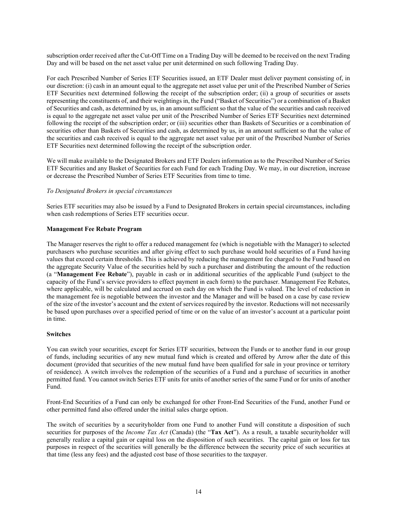subscription order received after the Cut-Off Time on a Trading Day will be deemed to be received on the next Trading Day and will be based on the net asset value per unit determined on such following Trading Day.

For each Prescribed Number of Series ETF Securities issued, an ETF Dealer must deliver payment consisting of, in our discretion: (i) cash in an amount equal to the aggregate net asset value per unit of the Prescribed Number of Series ETF Securities next determined following the receipt of the subscription order; (ii) a group of securities or assets representing the constituents of, and their weightings in, the Fund ("Basket of Securities") or a combination of a Basket of Securities and cash, as determined by us, in an amount sufficient so that the value of the securities and cash received is equal to the aggregate net asset value per unit of the Prescribed Number of Series ETF Securities next determined following the receipt of the subscription order; or (iii) securities other than Baskets of Securities or a combination of securities other than Baskets of Securities and cash, as determined by us, in an amount sufficient so that the value of the securities and cash received is equal to the aggregate net asset value per unit of the Prescribed Number of Series ETF Securities next determined following the receipt of the subscription order.

We will make available to the Designated Brokers and ETF Dealers information as to the Prescribed Number of Series ETF Securities and any Basket of Securities for each Fund for each Trading Day. We may, in our discretion, increase or decrease the Prescribed Number of Series ETF Securities from time to time.

#### *To Designated Brokers in special circumstances*

Series ETF securities may also be issued by a Fund to Designated Brokers in certain special circumstances, including when cash redemptions of Series ETF securities occur.

#### **Management Fee Rebate Program**

The Manager reserves the right to offer a reduced management fee (which is negotiable with the Manager) to selected purchasers who purchase securities and after giving effect to such purchase would hold securities of a Fund having values that exceed certain thresholds. This is achieved by reducing the management fee charged to the Fund based on the aggregate Security Value of the securities held by such a purchaser and distributing the amount of the reduction (a "**Management Fee Rebate**"), payable in cash or in additional securities of the applicable Fund (subject to the capacity of the Fund's service providers to effect payment in each form) to the purchaser. Management Fee Rebates, where applicable, will be calculated and accrued on each day on which the Fund is valued. The level of reduction in the management fee is negotiable between the investor and the Manager and will be based on a case by case review of the size of the investor's account and the extent of services required by the investor. Reductions will not necessarily be based upon purchases over a specified period of time or on the value of an investor's account at a particular point in time.

#### **Switches**

You can switch your securities, except for Series ETF securities, between the Funds or to another fund in our group of funds, including securities of any new mutual fund which is created and offered by Arrow after the date of this document (provided that securities of the new mutual fund have been qualified for sale in your province or territory of residence). A switch involves the redemption of the securities of a Fund and a purchase of securities in another permitted fund. You cannot switch Series ETF units for units of another series of the same Fund or for units of another Fund.

Front-End Securities of a Fund can only be exchanged for other Front-End Securities of the Fund, another Fund or other permitted fund also offered under the initial sales charge option.

The switch of securities by a securityholder from one Fund to another Fund will constitute a disposition of such securities for purposes of the *Income Tax Act* (Canada) (the "**Tax Act**"). As a result, a taxable securityholder will generally realize a capital gain or capital loss on the disposition of such securities. The capital gain or loss for tax purposes in respect of the securities will generally be the difference between the security price of such securities at that time (less any fees) and the adjusted cost base of those securities to the taxpayer.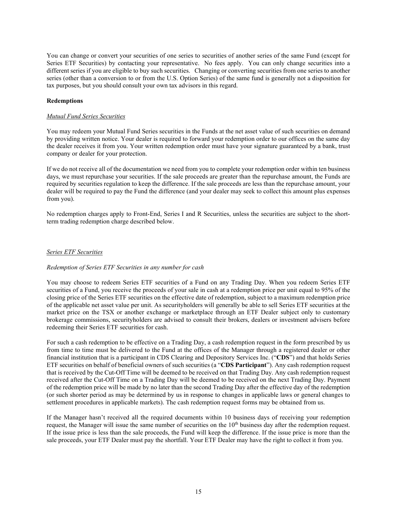You can change or convert your securities of one series to securities of another series of the same Fund (except for Series ETF Securities) by contacting your representative. No fees apply. You can only change securities into a different series if you are eligible to buy such securities. Changing or converting securities from one series to another series (other than a conversion to or from the U.S. Option Series) of the same fund is generally not a disposition for tax purposes, but you should consult your own tax advisors in this regard.

## **Redemptions**

#### *Mutual Fund Series Securities*

You may redeem your Mutual Fund Series securities in the Funds at the net asset value of such securities on demand by providing written notice. Your dealer is required to forward your redemption order to our offices on the same day the dealer receives it from you. Your written redemption order must have your signature guaranteed by a bank, trust company or dealer for your protection.

If we do not receive all of the documentation we need from you to complete your redemption order within ten business days, we must repurchase your securities. If the sale proceeds are greater than the repurchase amount, the Funds are required by securities regulation to keep the difference. If the sale proceeds are less than the repurchase amount, your dealer will be required to pay the Fund the difference (and your dealer may seek to collect this amount plus expenses from you).

No redemption charges apply to Front-End, Series I and R Securities, unless the securities are subject to the shortterm trading redemption charge described below.

#### *Series ETF Securities*

## *Redemption of Series ETF Securities in any number for cash*

You may choose to redeem Series ETF securities of a Fund on any Trading Day. When you redeem Series ETF securities of a Fund, you receive the proceeds of your sale in cash at a redemption price per unit equal to 95% of the closing price of the Series ETF securities on the effective date of redemption, subject to a maximum redemption price of the applicable net asset value per unit. As securityholders will generally be able to sell Series ETF securities at the market price on the TSX or another exchange or marketplace through an ETF Dealer subject only to customary brokerage commissions, securityholders are advised to consult their brokers, dealers or investment advisers before redeeming their Series ETF securities for cash.

For such a cash redemption to be effective on a Trading Day, a cash redemption request in the form prescribed by us from time to time must be delivered to the Fund at the offices of the Manager through a registered dealer or other financial institution that is a participant in CDS Clearing and Depository Services Inc. ("**CDS**") and that holds Series ETF securities on behalf of beneficial owners of such securities (a "**CDS Participant**"). Any cash redemption request that is received by the Cut-Off Time will be deemed to be received on that Trading Day. Any cash redemption request received after the Cut-Off Time on a Trading Day will be deemed to be received on the next Trading Day. Payment of the redemption price will be made by no later than the second Trading Day after the effective day of the redemption (or such shorter period as may be determined by us in response to changes in applicable laws or general changes to settlement procedures in applicable markets). The cash redemption request forms may be obtained from us.

If the Manager hasn't received all the required documents within 10 business days of receiving your redemption request, the Manager will issue the same number of securities on the 10<sup>th</sup> business day after the redemption request. If the issue price is less than the sale proceeds, the Fund will keep the difference. If the issue price is more than the sale proceeds, your ETF Dealer must pay the shortfall. Your ETF Dealer may have the right to collect it from you.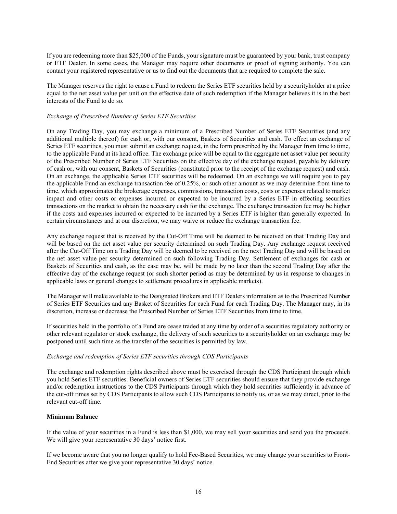If you are redeeming more than \$25,000 of the Funds, your signature must be guaranteed by your bank, trust company or ETF Dealer. In some cases, the Manager may require other documents or proof of signing authority. You can contact your registered representative or us to find out the documents that are required to complete the sale.

The Manager reserves the right to cause a Fund to redeem the Series ETF securities held by a securityholder at a price equal to the net asset value per unit on the effective date of such redemption if the Manager believes it is in the best interests of the Fund to do so.

## *Exchange of Prescribed Number of Series ETF Securities*

On any Trading Day, you may exchange a minimum of a Prescribed Number of Series ETF Securities (and any additional multiple thereof) for cash or, with our consent, Baskets of Securities and cash. To effect an exchange of Series ETF securities, you must submit an exchange request, in the form prescribed by the Manager from time to time, to the applicable Fund at its head office. The exchange price will be equal to the aggregate net asset value per security of the Prescribed Number of Series ETF Securities on the effective day of the exchange request, payable by delivery of cash or, with our consent, Baskets of Securities (constituted prior to the receipt of the exchange request) and cash. On an exchange, the applicable Series ETF securities will be redeemed. On an exchange we will require you to pay the applicable Fund an exchange transaction fee of 0.25%, or such other amount as we may determine from time to time, which approximates the brokerage expenses, commissions, transaction costs, costs or expenses related to market impact and other costs or expenses incurred or expected to be incurred by a Series ETF in effecting securities transactions on the market to obtain the necessary cash for the exchange. The exchange transaction fee may be higher if the costs and expenses incurred or expected to be incurred by a Series ETF is higher than generally expected. In certain circumstances and at our discretion, we may waive or reduce the exchange transaction fee.

Any exchange request that is received by the Cut-Off Time will be deemed to be received on that Trading Day and will be based on the net asset value per security determined on such Trading Day. Any exchange request received after the Cut-Off Time on a Trading Day will be deemed to be received on the next Trading Day and will be based on the net asset value per security determined on such following Trading Day. Settlement of exchanges for cash or Baskets of Securities and cash, as the case may be, will be made by no later than the second Trading Day after the effective day of the exchange request (or such shorter period as may be determined by us in response to changes in applicable laws or general changes to settlement procedures in applicable markets).

The Manager will make available to the Designated Brokers and ETF Dealers information as to the Prescribed Number of Series ETF Securities and any Basket of Securities for each Fund for each Trading Day. The Manager may, in its discretion, increase or decrease the Prescribed Number of Series ETF Securities from time to time.

If securities held in the portfolio of a Fund are cease traded at any time by order of a securities regulatory authority or other relevant regulator or stock exchange, the delivery of such securities to a securityholder on an exchange may be postponed until such time as the transfer of the securities is permitted by law.

#### *Exchange and redemption of Series ETF securities through CDS Participants*

The exchange and redemption rights described above must be exercised through the CDS Participant through which you hold Series ETF securities. Beneficial owners of Series ETF securities should ensure that they provide exchange and/or redemption instructions to the CDS Participants through which they hold securities sufficiently in advance of the cut-off times set by CDS Participants to allow such CDS Participants to notify us, or as we may direct, prior to the relevant cut-off time.

#### **Minimum Balance**

If the value of your securities in a Fund is less than \$1,000, we may sell your securities and send you the proceeds. We will give your representative 30 days' notice first.

If we become aware that you no longer qualify to hold Fee-Based Securities, we may change your securities to Front-End Securities after we give your representative 30 days' notice.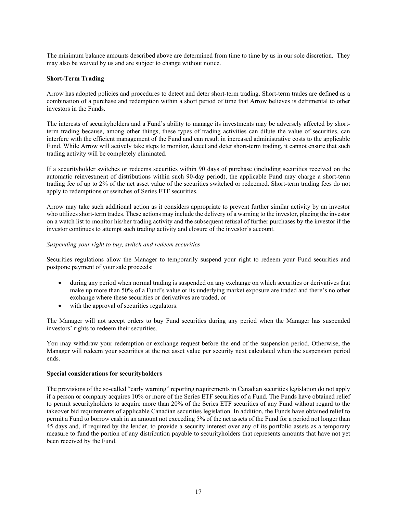The minimum balance amounts described above are determined from time to time by us in our sole discretion. They may also be waived by us and are subject to change without notice.

## **Short-Term Trading**

Arrow has adopted policies and procedures to detect and deter short-term trading. Short-term trades are defined as a combination of a purchase and redemption within a short period of time that Arrow believes is detrimental to other investors in the Funds.

The interests of securityholders and a Fund's ability to manage its investments may be adversely affected by shortterm trading because, among other things, these types of trading activities can dilute the value of securities, can interfere with the efficient management of the Fund and can result in increased administrative costs to the applicable Fund. While Arrow will actively take steps to monitor, detect and deter short-term trading, it cannot ensure that such trading activity will be completely eliminated.

If a securityholder switches or redeems securities within 90 days of purchase (including securities received on the automatic reinvestment of distributions within such 90-day period), the applicable Fund may charge a short-term trading fee of up to 2% of the net asset value of the securities switched or redeemed. Short-term trading fees do not apply to redemptions or switches of Series ETF securities.

Arrow may take such additional action as it considers appropriate to prevent further similar activity by an investor who utilizes short-term trades. These actions may include the delivery of a warning to the investor, placing the investor on a watch list to monitor his/her trading activity and the subsequent refusal of further purchases by the investor if the investor continues to attempt such trading activity and closure of the investor's account.

#### *Suspending your right to buy, switch and redeem securities*

Securities regulations allow the Manager to temporarily suspend your right to redeem your Fund securities and postpone payment of your sale proceeds:

- during any period when normal trading is suspended on any exchange on which securities or derivatives that make up more than 50% of a Fund's value or its underlying market exposure are traded and there's no other exchange where these securities or derivatives are traded, or
- with the approval of securities regulators.

The Manager will not accept orders to buy Fund securities during any period when the Manager has suspended investors' rights to redeem their securities.

You may withdraw your redemption or exchange request before the end of the suspension period. Otherwise, the Manager will redeem your securities at the net asset value per security next calculated when the suspension period ends.

#### **Special considerations for securityholders**

The provisions of the so-called "early warning" reporting requirements in Canadian securities legislation do not apply if a person or company acquires 10% or more of the Series ETF securities of a Fund. The Funds have obtained relief to permit securityholders to acquire more than 20% of the Series ETF securities of any Fund without regard to the takeover bid requirements of applicable Canadian securities legislation. In addition, the Funds have obtained relief to permit a Fund to borrow cash in an amount not exceeding 5% of the net assets of the Fund for a period not longer than 45 days and, if required by the lender, to provide a security interest over any of its portfolio assets as a temporary measure to fund the portion of any distribution payable to securityholders that represents amounts that have not yet been received by the Fund.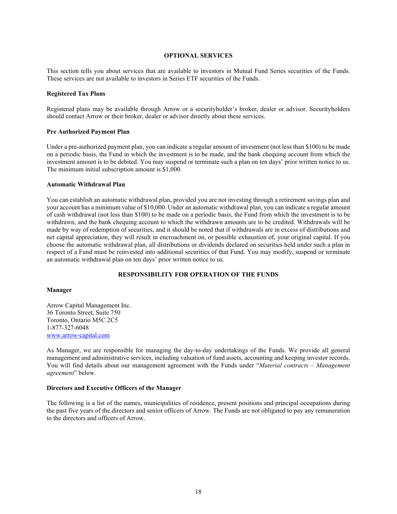#### **OPTIONAL SERVICES**

<span id="page-18-0"></span>This section tells you about services that are available to investors in Mutual Fund Series securities of the Funds. These services are not available to investors in Series ETF securities of the Funds.

#### **Registered Tax Plans**

Registered plans may be available through Arrow or a securityholder's broker, dealer or advisor. Securityholders should contact Arrow or their broker, dealer or advisor directly about these services.

#### **Pre Authorized Payment Plan**

Under a pre-authorized payment plan, you can indicate a regular amount of investment (not less than \$100) to be made on a periodic basis, the Fund in which the investment is to be made, and the bank chequing account from which the investment amount is to be debited. You may suspend or terminate such a plan on ten days' prior written notice to us. The minimum initial subscription amount is \$1,000.

#### **Automatic Withdrawal Plan**

You can establish an automatic withdrawal plan, provided you are not investing through a retirement savings plan and your account has a minimum value of \$10,000. Under an automatic withdrawal plan, you can indicate a regular amount of cash withdrawal (not less than \$100) to be made on a periodic basis, the Fund from which the investment is to be withdrawn, and the bank chequing account to which the withdrawn amounts are to be credited. Withdrawals will be made by way of redemption of securities, and it should be noted that if withdrawals are in excess of distributions and net capital appreciation, they will result in encroachment on, or possible exhaustion of, your original capital. If you choose the automatic withdrawal plan, all distributions or dividends declared on securities held under such a plan in respect of a Fund must be reinvested into additional securities of that Fund. You may modify, suspend or terminate an automatic withdrawal plan on ten days' prior written notice to us.

## **RESPONSIBILITY FOR OPERATION OF THE FUNDS**

#### <span id="page-18-1"></span>**Manager**

Arrow Capital Management Inc. 36 Toronto Street, Suite 750 Toronto, Ontario M5C 2C5 1-877-327-6048 [www.arrow-capital.com](http://www.arrow-capital.com/)

As Manager, we are responsible for managing the day-to-day undertakings of the Funds. We provide all general management and administrative services, including valuation of fund assets, accounting and keeping investor records. You will find details about our management agreement with the Funds under "*Material contracts – Management agreement*" below.

#### **Directors and Executive Officers of the Manager**

The following is a list of the names, municipalities of residence, present positions and principal occupations during the past five years of the directors and senior officers of Arrow. The Funds are not obligated to pay any remuneration to the directors and officers of Arrow.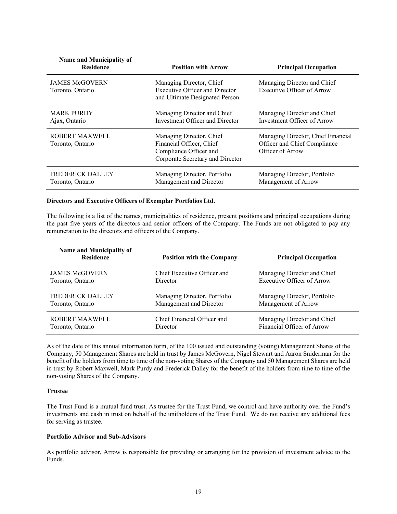| <b>Name and Municipality of</b><br><b>Residence</b> | <b>Position with Arrow</b>                                                                                         | <b>Principal Occupation</b>                                                            |
|-----------------------------------------------------|--------------------------------------------------------------------------------------------------------------------|----------------------------------------------------------------------------------------|
| <b>JAMES McGOVERN</b><br>Toronto, Ontario           | Managing Director, Chief<br><b>Executive Officer and Director</b><br>and Ultimate Designated Person                | Managing Director and Chief<br><b>Executive Officer of Arrow</b>                       |
| <b>MARK PURDY</b><br>Ajax, Ontario                  | Managing Director and Chief<br><b>Investment Officer and Director</b>                                              | Managing Director and Chief<br>Investment Officer of Arrow                             |
| <b>ROBERT MAXWELL</b><br>Toronto, Ontario           | Managing Director, Chief<br>Financial Officer, Chief<br>Compliance Officer and<br>Corporate Secretary and Director | Managing Director, Chief Financial<br>Officer and Chief Compliance<br>Officer of Arrow |
| <b>FREDERICK DALLEY</b><br>Toronto, Ontario         | Managing Director, Portfolio<br>Management and Director                                                            | Managing Director, Portfolio<br>Management of Arrow                                    |

#### **Directors and Executive Officers of Exemplar Portfolios Ltd.**

The following is a list of the names, municipalities of residence, present positions and principal occupations during the past five years of the directors and senior officers of the Company. The Funds are not obligated to pay any remuneration to the directors and officers of the Company.

| Name and Municipality of<br><b>Residence</b> | <b>Position with the Company</b> | <b>Principal Occupation</b>       |
|----------------------------------------------|----------------------------------|-----------------------------------|
| <b>JAMES McGOVERN</b>                        | Chief Executive Officer and      | Managing Director and Chief       |
| Toronto, Ontario                             | Director                         | <b>Executive Officer of Arrow</b> |
| <b>FREDERICK DALLEY</b>                      | Managing Director, Portfolio     | Managing Director, Portfolio      |
| Toronto, Ontario                             | Management and Director          | Management of Arrow               |
| ROBERT MAXWELL                               | Chief Financial Officer and      | Managing Director and Chief       |
| Toronto, Ontario                             | Director                         | Financial Officer of Arrow        |

As of the date of this annual information form, of the 100 issued and outstanding (voting) Management Shares of the Company, 50 Management Shares are held in trust by James McGovern, Nigel Stewart and Aaron Sniderman for the benefit of the holders from time to time of the non-voting Shares of the Company and 50 Management Shares are held in trust by Robert Maxwell, Mark Purdy and Frederick Dalley for the benefit of the holders from time to time of the non-voting Shares of the Company.

#### **Trustee**

The Trust Fund is a mutual fund trust. As trustee for the Trust Fund, we control and have authority over the Fund's investments and cash in trust on behalf of the unitholders of the Trust Fund. We do not receive any additional fees for serving as trustee.

#### **Portfolio Advisor and Sub-Advisors**

As portfolio advisor, Arrow is responsible for providing or arranging for the provision of investment advice to the Funds.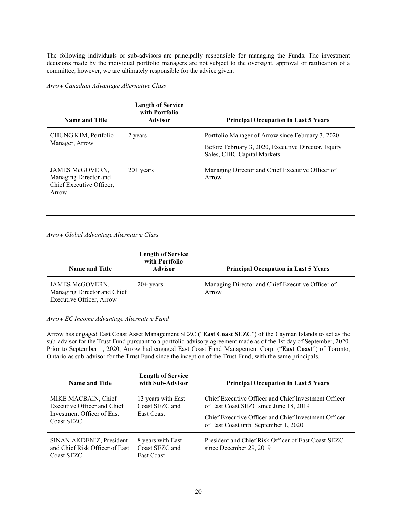The following individuals or sub-advisors are principally responsible for managing the Funds. The investment decisions made by the individual portfolio managers are not subject to the oversight, approval or ratification of a committee; however, we are ultimately responsible for the advice given.

#### *Arrow Canadian Advantage Alternative Class*

| <b>Name and Title</b>                                                                | <b>Length of Service</b><br>with Portfolio<br>Advisor | <b>Principal Occupation in Last 5 Years</b>                                                                                             |
|--------------------------------------------------------------------------------------|-------------------------------------------------------|-----------------------------------------------------------------------------------------------------------------------------------------|
| CHUNG KIM, Portfolio<br>Manager, Arrow                                               | 2 years                                               | Portfolio Manager of Arrow since February 3, 2020<br>Before February 3, 2020, Executive Director, Equity<br>Sales, CIBC Capital Markets |
| <b>JAMES McGOVERN.</b><br>Managing Director and<br>Chief Executive Officer,<br>Arrow | $20+$ years                                           | Managing Director and Chief Executive Officer of<br>Arrow                                                                               |

*Arrow Global Advantage Alternative Class*

| <b>Name and Title</b>                                                             | <b>Length of Service</b><br>with Portfolio<br><b>Advisor</b> | <b>Principal Occupation in Last 5 Years</b>               |
|-----------------------------------------------------------------------------------|--------------------------------------------------------------|-----------------------------------------------------------|
| JAMES McGOVERN,<br>Managing Director and Chief<br><b>Executive Officer, Arrow</b> | $20+$ years                                                  | Managing Director and Chief Executive Officer of<br>Arrow |

## *Arrow EC Income Advantage Alternative Fund*

Arrow has engaged East Coast Asset Management SEZC ("**East Coast SEZC**") of the Cayman Islands to act as the sub-advisor for the Trust Fund pursuant to a portfolio advisory agreement made as of the 1st day of September, 2020. Prior to September 1, 2020, Arrow had engaged East Coast Fund Management Corp. ("**East Coast**") of Toronto, Ontario as sub-advisor for the Trust Fund since the inception of the Trust Fund, with the same principals.

| Name and Title                                                                                 | <b>Length of Service</b><br>with Sub-Advisor              | <b>Principal Occupation in Last 5 Years</b>                                                                                                                                                     |  |  |
|------------------------------------------------------------------------------------------------|-----------------------------------------------------------|-------------------------------------------------------------------------------------------------------------------------------------------------------------------------------------------------|--|--|
| MIKE MACBAIN, Chief<br>Executive Officer and Chief<br>Investment Officer of East<br>Coast SEZC | 13 years with East<br>Coast SEZC and<br><b>East Coast</b> | Chief Executive Officer and Chief Investment Officer<br>of East Coast SEZC since June 18, 2019<br>Chief Executive Officer and Chief Investment Officer<br>of East Coast until September 1, 2020 |  |  |
| SINAN AKDENIZ, President<br>and Chief Risk Officer of East<br>Coast SEZC                       | 8 years with East<br>Coast SEZC and<br><b>East Coast</b>  | President and Chief Risk Officer of East Coast SEZC<br>since December 29, 2019                                                                                                                  |  |  |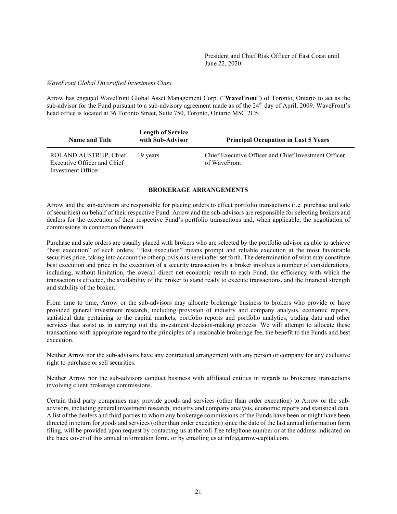| President and Chief Risk Officer of East Coast until |
|------------------------------------------------------|
| June 22, 2020                                        |

#### *WaveFront Global Diversified Investment Class*

Arrow has engaged WaveFront Global Asset Management Corp. ("**WaveFront**") of Toronto, Ontario to act as the sub-advisor for the Fund pursuant to a sub-advisory agreement made as of the 24<sup>th</sup> day of April, 2009. WaveFront's head office is located at 36 Toronto Street, Suite 750, Toronto, Ontario M5C 2C5.

| <b>Name and Title</b>                                                      | <b>Length of Service</b><br>with Sub-Advisor | <b>Principal Occupation in Last 5 Years</b>                          |  |
|----------------------------------------------------------------------------|----------------------------------------------|----------------------------------------------------------------------|--|
| ROLAND AUSTRUP, Chief<br>Executive Officer and Chief<br>Investment Officer | 19 years                                     | Chief Executive Officer and Chief Investment Officer<br>of WaveFront |  |

## **BROKERAGE ARRANGEMENTS**

<span id="page-21-0"></span>Arrow and the sub-advisors are responsible for placing orders to effect portfolio transactions (i.e. purchase and sale of securities) on behalf of their respective Fund. Arrow and the sub-advisors are responsible for selecting brokers and dealers for the execution of their respective Fund's portfolio transactions and, when applicable, the negotiation of commissions in connection therewith.

Purchase and sale orders are usually placed with brokers who are selected by the portfolio advisor as able to achieve "best execution" of such orders. "Best execution" means prompt and reliable execution at the most favourable securities price, taking into account the other provisions hereinafter set forth. The determination of what may constitute best execution and price in the execution of a security transaction by a broker involves a number of considerations, including, without limitation, the overall direct net economic result to each Fund, the efficiency with which the transaction is effected, the availability of the broker to stand ready to execute transactions, and the financial strength and stability of the broker.

From time to time, Arrow or the sub-advisors may allocate brokerage business to brokers who provide or have provided general investment research, including provision of industry and company analysis, economic reports, statistical data pertaining to the capital markets, portfolio reports and portfolio analytics, trading data and other services that assist us in carrying out the investment decision-making process. We will attempt to allocate these transactions with appropriate regard to the principles of a reasonable brokerage fee, the benefit to the Funds and best execution.

Neither Arrow nor the sub-advisors have any contractual arrangement with any person or company for any exclusive right to purchase or sell securities.

Neither Arrow nor the sub-advisors conduct business with affiliated entities in regards to brokerage transactions involving client brokerage commissions.

Certain third party companies may provide goods and services (other than order execution) to Arrow or the subadvisors, including general investment research, industry and company analysis, economic reports and statistical data. A list of the dealers and third parties to whom any brokerage commissions of the Funds have been or might have been directed in return for goods and services (other than order execution) since the date of the last annual information form filing, will be provided upon request by contacting us at the toll-free telephone number or at the address indicated on the back cover of this annual information form, or by emailing us at info@arrow-capital.com.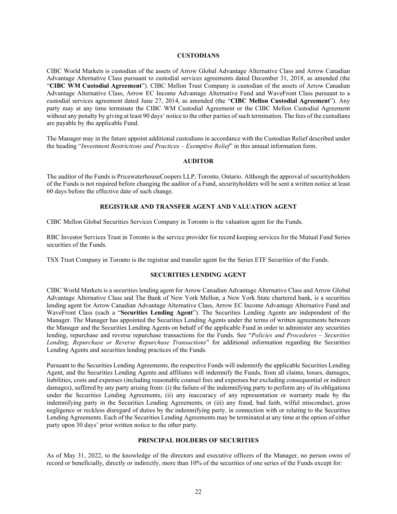#### **CUSTODIANS**

<span id="page-22-0"></span>CIBC World Markets is custodian of the assets of Arrow Global Advantage Alternative Class and Arrow Canadian Advantage Alternative Class pursuant to custodial services agreements dated December 31, 2018, as amended (the "**CIBC WM Custodial Agreement**"). CIBC Mellon Trust Company is custodian of the assets of Arrow Canadian Advantage Alternative Class, Arrow EC Income Advantage Alternative Fund and WaveFront Class pursuant to a custodial services agreement dated June 27, 2014, as amended (the "**CIBC Mellon Custodial Agreement**"). Any party may at any time terminate the CIBC WM Custodial Agreement or the CIBC Mellon Custodial Agreement without any penalty by giving at least 90 days' notice to the other parties of such termination. The fees of the custodians are payable by the applicable Fund.

The Manager may in the future appoint additional custodians in accordance with the Custodian Relief described under the heading "*Investment Restrictions and Practices – Exemptive Relief*" in this annual information form.

#### **AUDITOR**

<span id="page-22-1"></span>The auditor of the Funds is PricewaterhouseCoopers LLP, Toronto, Ontario. Although the approval of securityholders of the Funds is not required before changing the auditor of a Fund, securityholders will be sent a written notice at least 60 days before the effective date of such change.

#### **REGISTRAR AND TRANSFER AGENT AND VALUATION AGENT**

<span id="page-22-2"></span>CIBC Mellon Global Securities Services Company in Toronto is the valuation agent for the Funds.

RBC Investor Services Trust in Toronto is the service provider for record keeping services for the Mutual Fund Series securities of the Funds.

<span id="page-22-3"></span>TSX Trust Company in Toronto is the registrar and transfer agent for the Series ETF Securities of the Funds.

## **SECURITIES LENDING AGENT**

CIBC World Markets is a securities lending agent for Arrow Canadian Advantage Alternative Class and Arrow Global Advantage Alternative Class and The Bank of New York Mellon, a New York State chartered bank, is a securities lending agent for Arrow Canadian Advantage Alternative Class, Arrow EC Income Advantage Alternative Fund and WaveFront Class (each a "**Securities Lending Agent**"). The Securities Lending Agents are independent of the Manager. The Manager has appointed the Securities Lending Agents under the terms of written agreements between the Manager and the Securities Lending Agents on behalf of the applicable Fund in order to administer any securities lending, repurchase and reverse repurchase transactions for the Funds. See "*Policies and Procedures – Securities Lending, Repurchase or Reverse Repurchase Transactions*" for additional information regarding the Securities Lending Agents and securities lending practices of the Funds.

Pursuant to the Securities Lending Agreements, the respective Funds will indemnify the applicable Securities Lending Agent, and the Securities Lending Agents and affiliates will indemnify the Funds, from all claims, losses, damages, liabilities, costs and expenses (including reasonable counsel fees and expenses but excluding consequential or indirect damages), suffered by any party arising from: (i) the failure of the indemnifying party to perform any of its obligations under the Securities Lending Agreements, (ii) any inaccuracy of any representation or warranty made by the indemnifying party in the Securities Lending Agreements, or (iii) any fraud, bad faith, wilful misconduct, gross negligence or reckless disregard of duties by the indemnifying party, in connection with or relating to the Securities Lending Agreements. Each of the Securities Lending Agreements may be terminated at any time at the option of either party upon 30 days' prior written notice to the other party.

#### **PRINCIPAL HOLDERS OF SECURITIES**

<span id="page-22-4"></span>As of May 31, 2022, to the knowledge of the directors and executive officers of the Manager, no person owns of record or beneficially, directly or indirectly, more than 10% of the securities of one series of the Funds except for: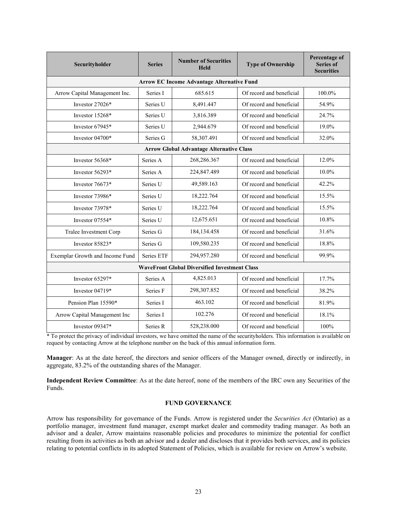| Securityholder                                       | <b>Series</b> | <b>Number of Securities</b><br>Held | <b>Type of Ownership</b> | Percentage of<br><b>Series of</b><br><b>Securities</b> |  |  |  |  |
|------------------------------------------------------|---------------|-------------------------------------|--------------------------|--------------------------------------------------------|--|--|--|--|
| <b>Arrow EC Income Advantage Alternative Fund</b>    |               |                                     |                          |                                                        |  |  |  |  |
| Arrow Capital Management Inc.                        | Series I      | 685.615                             | Of record and beneficial | 100.0%                                                 |  |  |  |  |
| Investor 27026*                                      | Series U      | 8,491.447                           | Of record and beneficial | 54.9%                                                  |  |  |  |  |
| Investor 15268*                                      | Series U      | 3,816.389                           | Of record and beneficial | 24.7%                                                  |  |  |  |  |
| Investor 67945*                                      | Series U      | 2,944.679                           | Of record and beneficial | 19.0%                                                  |  |  |  |  |
| Investor 04700*                                      | Series G      | 58,307.491                          | Of record and beneficial | 32.0%                                                  |  |  |  |  |
| <b>Arrow Global Advantage Alternative Class</b>      |               |                                     |                          |                                                        |  |  |  |  |
| Investor 56368*                                      | Series A      | 268,286.367                         | Of record and beneficial | 12.0%                                                  |  |  |  |  |
| Investor 56293*                                      | Series A      | 224,847.489                         | Of record and beneficial | 10.0%                                                  |  |  |  |  |
| Investor 76673*                                      | Series U      | 49,589.163                          | Of record and beneficial | 42.2%                                                  |  |  |  |  |
| Investor 73986*                                      | Series U      | 18,222.764                          | Of record and beneficial | 15.5%                                                  |  |  |  |  |
| Investor 73978*                                      | Series U      | 18,222.764                          | Of record and beneficial | 15.5%                                                  |  |  |  |  |
| Investor $07554*$                                    | Series U      | 12,675.651                          | Of record and beneficial | 10.8%                                                  |  |  |  |  |
| Tralee Investment Corp                               | Series G      | 184, 134. 458                       | Of record and beneficial | 31.6%                                                  |  |  |  |  |
| Investor 85823*                                      | Series G      | 109,580.235                         | Of record and beneficial | 18.8%                                                  |  |  |  |  |
| Exemplar Growth and Income Fund                      | Series ETF    | 294,957.280                         | Of record and beneficial | 99.9%                                                  |  |  |  |  |
| <b>WaveFront Global Diversified Investment Class</b> |               |                                     |                          |                                                        |  |  |  |  |
| Investor 65297*                                      | Series A      | 4,825.013                           | Of record and beneficial | 17.7%                                                  |  |  |  |  |
| Investor $04719*$                                    | Series F      | 298,307.852                         | Of record and beneficial | 38.2%                                                  |  |  |  |  |
| Pension Plan 15590*                                  | Series I      | 463.102                             | Of record and beneficial | 81.9%                                                  |  |  |  |  |
| Arrow Capital Management Inc                         | Series I      | 102.276                             | Of record and beneficial | 18.1%                                                  |  |  |  |  |
| Investor 09347*                                      | Series R      | 528,238.000                         | Of record and beneficial | 100%                                                   |  |  |  |  |

\* To protect the privacy of individual investors, we have omitted the name of the securityholders. This information is available on request by contacting Arrow at the telephone number on the back of this annual information form.

**Manager**: As at the date hereof, the directors and senior officers of the Manager owned, directly or indirectly, in aggregate, 83.2% of the outstanding shares of the Manager.

**Independent Review Committee**: As at the date hereof, none of the members of the IRC own any Securities of the Funds.

## **FUND GOVERNANCE**

<span id="page-23-0"></span>Arrow has responsibility for governance of the Funds. Arrow is registered under the *Securities Act* (Ontario) as a portfolio manager, investment fund manager, exempt market dealer and commodity trading manager. As both an advisor and a dealer, Arrow maintains reasonable policies and procedures to minimize the potential for conflict resulting from its activities as both an advisor and a dealer and discloses that it provides both services, and its policies relating to potential conflicts in its adopted Statement of Policies, which is available for review on Arrow's website.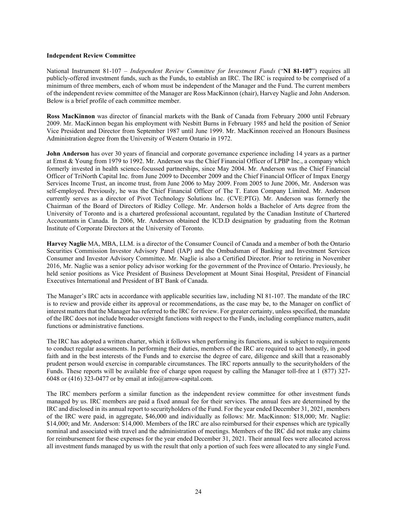#### **Independent Review Committee**

National Instrument 81-107 – *Independent Review Committee for Investment Funds* ("**NI 81-107**") requires all publicly-offered investment funds, such as the Funds, to establish an IRC. The IRC is required to be comprised of a minimum of three members, each of whom must be independent of the Manager and the Fund. The current members of the independent review committee of the Manager are Ross MacKinnon (chair), Harvey Naglie and John Anderson. Below is a brief profile of each committee member.

**Ross MacKinnon** was director of financial markets with the Bank of Canada from February 2000 until February 2009. Mr. MacKinnon began his employment with Nesbitt Burns in February 1985 and held the position of Senior Vice President and Director from September 1987 until June 1999. Mr. MacKinnon received an Honours Business Administration degree from the University of Western Ontario in 1972.

**John Anderson** has over 30 years of financial and corporate governance experience including 14 years as a partner at Ernst & Young from 1979 to 1992. Mr. Anderson was the Chief Financial Officer of LPBP Inc., a company which formerly invested in health science-focussed partnerships, since May 2004. Mr. Anderson was the Chief Financial Officer of TriNorth Capital Inc. from June 2009 to December 2009 and the Chief Financial Officer of Impax Energy Services Income Trust, an income trust, from June 2006 to May 2009. From 2005 to June 2006, Mr. Anderson was self-employed. Previously, he was the Chief Financial Officer of The T. Eaton Company Limited. Mr. Anderson currently serves as a director of Pivot Technology Solutions Inc. (CVE:PTG). Mr. Anderson was formerly the Chairman of the Board of Directors of Ridley College. Mr. Anderson holds a Bachelor of Arts degree from the University of Toronto and is a chartered professional accountant, regulated by the Canadian Institute of Chartered Accountants in Canada. In 2006, Mr. Anderson obtained the ICD.D designation by graduating from the Rotman Institute of Corporate Directors at the University of Toronto.

**Harvey Naglie** MA, MBA, LLM. is a director of the Consumer Council of Canada and a member of both the Ontario Securities Commission Investor Advisory Panel (IAP) and the Ombudsman of Banking and Investment Services Consumer and Investor Advisory Committee. Mr. Naglie is also a Certified Director. Prior to retiring in November 2016, Mr. Naglie was a senior policy advisor working for the government of the Province of Ontario. Previously, he held senior positions as Vice President of Business Development at Mount Sinai Hospital, President of Financial Executives International and President of BT Bank of Canada.

The Manager's IRC acts in accordance with applicable securities law, including NI 81-107. The mandate of the IRC is to review and provide either its approval or recommendations, as the case may be, to the Manager on conflict of interest matters that the Manager has referred to the IRC for review. For greater certainty, unless specified, the mandate of the IRC does not include broader oversight functions with respect to the Funds, including compliance matters, audit functions or administrative functions.

The IRC has adopted a written charter, which it follows when performing its functions, and is subject to requirements to conduct regular assessments. In performing their duties, members of the IRC are required to act honestly, in good faith and in the best interests of the Funds and to exercise the degree of care, diligence and skill that a reasonably prudent person would exercise in comparable circumstances. The IRC reports annually to the securityholders of the Funds. These reports will be available free of charge upon request by calling the Manager toll-free at 1 (877) 327- 6048 or (416) 323-0477 or by email at info@arrow-capital.com.

The IRC members perform a similar function as the independent review committee for other investment funds managed by us. IRC members are paid a fixed annual fee for their services. The annual fees are determined by the IRC and disclosed in its annual report to securityholders of the Fund. For the year ended December 31, 2021, members of the IRC were paid, in aggregate, \$46,000 and individually as follows: Mr. MacKinnon: \$18,000; Mr. Naglie: \$14,000; and Mr. Anderson: \$14,000. Members of the IRC are also reimbursed for their expenses which are typically nominal and associated with travel and the administration of meetings. Members of the IRC did not make any claims for reimbursement for these expenses for the year ended December 31, 2021. Their annual fees were allocated across all investment funds managed by us with the result that only a portion of such fees were allocated to any single Fund.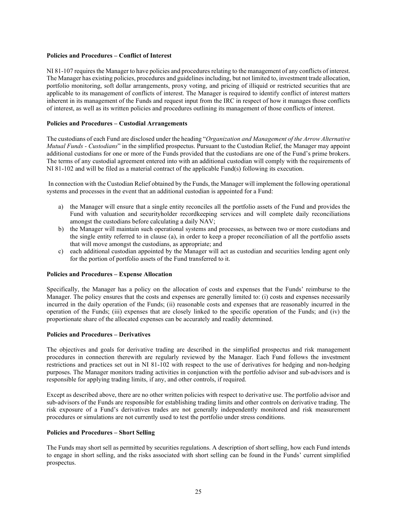## **Policies and Procedures – Conflict of Interest**

NI 81-107 requires the Manager to have policies and procedures relating to the management of any conflicts of interest. The Manager has existing policies, procedures and guidelines including, but not limited to, investment trade allocation, portfolio monitoring, soft dollar arrangements, proxy voting, and pricing of illiquid or restricted securities that are applicable to its management of conflicts of interest. The Manager is required to identify conflict of interest matters inherent in its management of the Funds and request input from the IRC in respect of how it manages those conflicts of interest, as well as its written policies and procedures outlining its management of those conflicts of interest.

## **Policies and Procedures – Custodial Arrangements**

The custodians of each Fund are disclosed under the heading "*Organization and Management of the Arrow Alternative Mutual Funds - Custodians*" in the simplified prospectus. Pursuant to the Custodian Relief, the Manager may appoint additional custodians for one or more of the Funds provided that the custodians are one of the Fund's prime brokers. The terms of any custodial agreement entered into with an additional custodian will comply with the requirements of NI 81-102 and will be filed as a material contract of the applicable Fund(s) following its execution.

In connection with the Custodian Relief obtained by the Funds, the Manager will implement the following operational systems and processes in the event that an additional custodian is appointed for a Fund:

- a) the Manager will ensure that a single entity reconciles all the portfolio assets of the Fund and provides the Fund with valuation and securityholder recordkeeping services and will complete daily reconciliations amongst the custodians before calculating a daily NAV;
- b) the Manager will maintain such operational systems and processes, as between two or more custodians and the single entity referred to in clause (a), in order to keep a proper reconciliation of all the portfolio assets that will move amongst the custodians, as appropriate; and
- c) each additional custodian appointed by the Manager will act as custodian and securities lending agent only for the portion of portfolio assets of the Fund transferred to it.

#### **Policies and Procedures – Expense Allocation**

Specifically, the Manager has a policy on the allocation of costs and expenses that the Funds' reimburse to the Manager. The policy ensures that the costs and expenses are generally limited to: (i) costs and expenses necessarily incurred in the daily operation of the Funds; (ii) reasonable costs and expenses that are reasonably incurred in the operation of the Funds; (iii) expenses that are closely linked to the specific operation of the Funds; and (iv) the proportionate share of the allocated expenses can be accurately and readily determined.

#### **Policies and Procedures – Derivatives**

The objectives and goals for derivative trading are described in the simplified prospectus and risk management procedures in connection therewith are regularly reviewed by the Manager. Each Fund follows the investment restrictions and practices set out in NI 81-102 with respect to the use of derivatives for hedging and non-hedging purposes. The Manager monitors trading activities in conjunction with the portfolio advisor and sub-advisors and is responsible for applying trading limits, if any, and other controls, if required.

Except as described above, there are no other written policies with respect to derivative use. The portfolio advisor and sub-advisors of the Funds are responsible for establishing trading limits and other controls on derivative trading. The risk exposure of a Fund's derivatives trades are not generally independently monitored and risk measurement procedures or simulations are not currently used to test the portfolio under stress conditions.

#### **Policies and Procedures – Short Selling**

The Funds may short sell as permitted by securities regulations. A description of short selling, how each Fund intends to engage in short selling, and the risks associated with short selling can be found in the Funds' current simplified prospectus.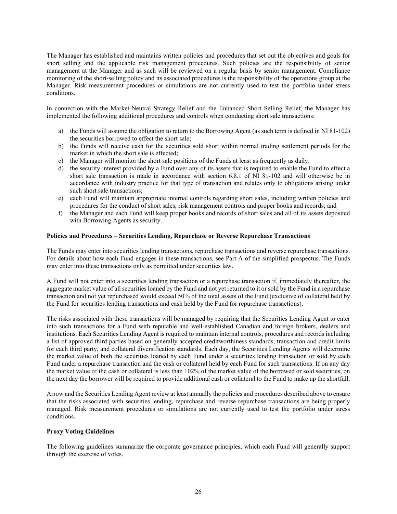The Manager has established and maintains written policies and procedures that set out the objectives and goals for short selling and the applicable risk management procedures. Such policies are the responsibility of senior management at the Manager and as such will be reviewed on a regular basis by senior management. Compliance monitoring of the short-selling policy and its associated procedures is the responsibility of the operations group at the Manager. Risk measurement procedures or simulations are not currently used to test the portfolio under stress conditions.

In connection with the Market-Neutral Strategy Relief and the Enhanced Short Selling Relief, the Manager has implemented the following additional procedures and controls when conducting short sale transactions:

- a) the Funds will assume the obligation to return to the Borrowing Agent (as such term is defined in NI 81-102) the securities borrowed to effect the short sale;
- b) the Funds will receive cash for the securities sold short within normal trading settlement periods for the market in which the short sale is effected;
- c) the Manager will monitor the short sale positions of the Funds at least as frequently as daily;
- d) the security interest provided by a Fund over any of its assets that is required to enable the Fund to effect a short sale transaction is made in accordance with section 6.8.1 of NI 81-102 and will otherwise be in accordance with industry practice for that type of transaction and relates only to obligations arising under such short sale transactions;
- e) each Fund will maintain appropriate internal controls regarding short sales, including written policies and procedures for the conduct of short sales, risk management controls and proper books and records; and
- f) the Manager and each Fund will keep proper books and records of short sales and all of its assets deposited with Borrowing Agents as security.

#### **Policies and Procedures – Securities Lending, Repurchase or Reverse Repurchase Transactions**

The Funds may enter into securities lending transactions, repurchase transactions and reverse repurchase transactions. For details about how each Fund engages in these transactions, see Part A of the simplified prospectus. The Funds may enter into these transactions only as permitted under securities law.

A Fund will not enter into a securities lending transaction or a repurchase transaction if, immediately thereafter, the aggregate market value of all securities loaned by the Fund and not yet returned to it or sold by the Fund in a repurchase transaction and not yet repurchased would exceed 50% of the total assets of the Fund (exclusive of collateral held by the Fund for securities lending transactions and cash held by the Fund for repurchase transactions).

The risks associated with these transactions will be managed by requiring that the Securities Lending Agent to enter into such transactions for a Fund with reputable and well-established Canadian and foreign brokers, dealers and institutions. Each Securities Lending Agent is required to maintain internal controls, procedures and records including a list of approved third parties based on generally accepted creditworthiness standards, transaction and credit limits for each third party, and collateral diversification standards. Each day, the Securities Lending Agents will determine the market value of both the securities loaned by each Fund under a securities lending transaction or sold by each Fund under a repurchase transaction and the cash or collateral held by each Fund for such transactions. If on any day the market value of the cash or collateral is less than 102% of the market value of the borrowed or sold securities, on the next day the borrower will be required to provide additional cash or collateral to the Fund to make up the shortfall.

Arrow and the Securities Lending Agent review at least annually the policies and procedures described above to ensure that the risks associated with securities lending, repurchase and reverse repurchase transactions are being properly managed. Risk measurement procedures or simulations are not currently used to test the portfolio under stress conditions.

#### **Proxy Voting Guidelines**

The following guidelines summarize the corporate governance principles, which each Fund will generally support through the exercise of votes.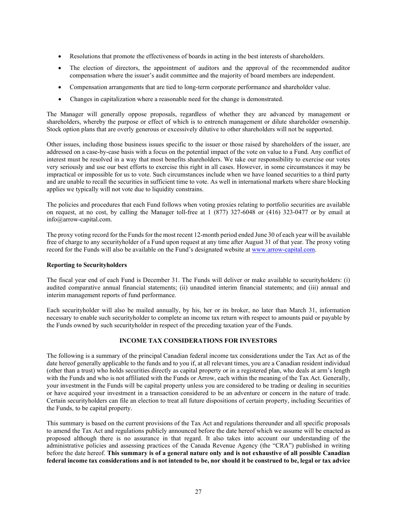- Resolutions that promote the effectiveness of boards in acting in the best interests of shareholders.
- The election of directors, the appointment of auditors and the approval of the recommended auditor compensation where the issuer's audit committee and the majority of board members are independent.
- Compensation arrangements that are tied to long-term corporate performance and shareholder value.
- Changes in capitalization where a reasonable need for the change is demonstrated.

The Manager will generally oppose proposals, regardless of whether they are advanced by management or shareholders, whereby the purpose or effect of which is to entrench management or dilute shareholder ownership. Stock option plans that are overly generous or excessively dilutive to other shareholders will not be supported.

Other issues, including those business issues specific to the issuer or those raised by shareholders of the issuer, are addressed on a case-by-case basis with a focus on the potential impact of the vote on value to a Fund. Any conflict of interest must be resolved in a way that most benefits shareholders. We take our responsibility to exercise our votes very seriously and use our best efforts to exercise this right in all cases. However, in some circumstances it may be impractical or impossible for us to vote. Such circumstances include when we have loaned securities to a third party and are unable to recall the securities in sufficient time to vote. As well in international markets where share blocking applies we typically will not vote due to liquidity constrains.

The policies and procedures that each Fund follows when voting proxies relating to portfolio securities are available on request, at no cost, by calling the Manager toll-free at  $1(877)$  327-6048 or (416) 323-0477 or by email at info@arrow-capital.com.

The proxy voting record for the Funds for the most recent 12-month period ended June 30 of each year will be available free of charge to any securityholder of a Fund upon request at any time after August 31 of that year. The proxy voting record for the Funds will also be available on the Fund's designated website a[t www.arrow-capital.com.](http://www.arrow-capital.com/)

#### **Reporting to Securityholders**

The fiscal year end of each Fund is December 31. The Funds will deliver or make available to securityholders: (i) audited comparative annual financial statements; (ii) unaudited interim financial statements; and (iii) annual and interim management reports of fund performance.

Each securityholder will also be mailed annually, by his, her or its broker, no later than March 31, information necessary to enable such securityholder to complete an income tax return with respect to amounts paid or payable by the Funds owned by such securityholder in respect of the preceding taxation year of the Funds.

## **INCOME TAX CONSIDERATIONS FOR INVESTORS**

<span id="page-27-0"></span>The following is a summary of the principal Canadian federal income tax considerations under the Tax Act as of the date hereof generally applicable to the funds and to you if, at all relevant times, you are a Canadian resident individual (other than a trust) who holds securities directly as capital property or in a registered plan, who deals at arm's length with the Funds and who is not affiliated with the Funds or Arrow, each within the meaning of the Tax Act. Generally, your investment in the Funds will be capital property unless you are considered to be trading or dealing in securities or have acquired your investment in a transaction considered to be an adventure or concern in the nature of trade. Certain securityholders can file an election to treat all future dispositions of certain property, including Securities of the Funds, to be capital property.

This summary is based on the current provisions of the Tax Act and regulations thereunder and all specific proposals to amend the Tax Act and regulations publicly announced before the date hereof which we assume will be enacted as proposed although there is no assurance in that regard. It also takes into account our understanding of the administrative policies and assessing practices of the Canada Revenue Agency (the "CRA") published in writing before the date hereof. **This summary is of a general nature only and is not exhaustive of all possible Canadian federal income tax considerations and is not intended to be, nor should it be construed to be, legal or tax advice**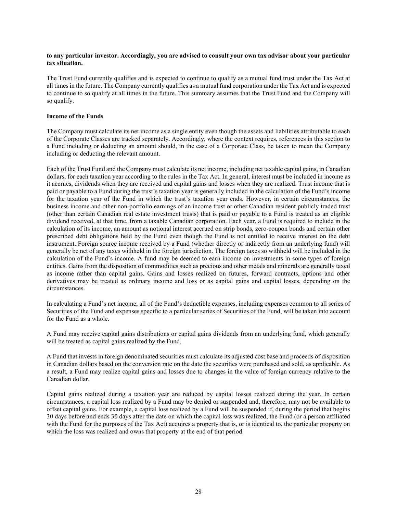#### **to any particular investor. Accordingly, you are advised to consult your own tax advisor about your particular tax situation.**

The Trust Fund currently qualifies and is expected to continue to qualify as a mutual fund trust under the Tax Act at all times in the future. The Company currently qualifies as a mutual fund corporation under the Tax Act and is expected to continue to so qualify at all times in the future. This summary assumes that the Trust Fund and the Company will so qualify.

## **Income of the Funds**

The Company must calculate its net income as a single entity even though the assets and liabilities attributable to each of the Corporate Classes are tracked separately. Accordingly, where the context requires, references in this section to a Fund including or deducting an amount should, in the case of a Corporate Class, be taken to mean the Company including or deducting the relevant amount.

Each of the Trust Fund and the Company must calculate its net income, including net taxable capital gains, in Canadian dollars, for each taxation year according to the rules in the Tax Act. In general, interest must be included in income as it accrues, dividends when they are received and capital gains and losses when they are realized. Trust income that is paid or payable to a Fund during the trust's taxation year is generally included in the calculation of the Fund's income for the taxation year of the Fund in which the trust's taxation year ends. However, in certain circumstances, the business income and other non-portfolio earnings of an income trust or other Canadian resident publicly traded trust (other than certain Canadian real estate investment trusts) that is paid or payable to a Fund is treated as an eligible dividend received, at that time, from a taxable Canadian corporation. Each year, a Fund is required to include in the calculation of its income, an amount as notional interest accrued on strip bonds, zero-coupon bonds and certain other prescribed debt obligations held by the Fund even though the Fund is not entitled to receive interest on the debt instrument. Foreign source income received by a Fund (whether directly or indirectly from an underlying fund) will generally be net of any taxes withheld in the foreign jurisdiction. The foreign taxes so withheld will be included in the calculation of the Fund's income. A fund may be deemed to earn income on investments in some types of foreign entities. Gains from the disposition of commodities such as precious and other metals and minerals are generally taxed as income rather than capital gains. Gains and losses realized on futures, forward contracts, options and other derivatives may be treated as ordinary income and loss or as capital gains and capital losses, depending on the circumstances.

In calculating a Fund's net income, all of the Fund's deductible expenses, including expenses common to all series of Securities of the Fund and expenses specific to a particular series of Securities of the Fund, will be taken into account for the Fund as a whole.

A Fund may receive capital gains distributions or capital gains dividends from an underlying fund, which generally will be treated as capital gains realized by the Fund.

A Fund that invests in foreign denominated securities must calculate its adjusted cost base and proceeds of disposition in Canadian dollars based on the conversion rate on the date the securities were purchased and sold, as applicable. As a result, a Fund may realize capital gains and losses due to changes in the value of foreign currency relative to the Canadian dollar.

Capital gains realized during a taxation year are reduced by capital losses realized during the year. In certain circumstances, a capital loss realized by a Fund may be denied or suspended and, therefore, may not be available to offset capital gains. For example, a capital loss realized by a Fund will be suspended if, during the period that begins 30 days before and ends 30 days after the date on which the capital loss was realized, the Fund (or a person affiliated with the Fund for the purposes of the Tax Act) acquires a property that is, or is identical to, the particular property on which the loss was realized and owns that property at the end of that period.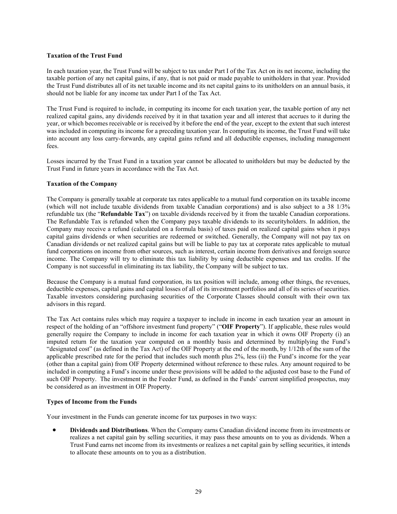#### **Taxation of the Trust Fund**

In each taxation year, the Trust Fund will be subject to tax under Part I of the Tax Act on its net income, including the taxable portion of any net capital gains, if any, that is not paid or made payable to unitholders in that year. Provided the Trust Fund distributes all of its net taxable income and its net capital gains to its unitholders on an annual basis, it should not be liable for any income tax under Part I of the Tax Act.

The Trust Fund is required to include, in computing its income for each taxation year, the taxable portion of any net realized capital gains, any dividends received by it in that taxation year and all interest that accrues to it during the year, or which becomes receivable or is received by it before the end of the year, except to the extent that such interest was included in computing its income for a preceding taxation year. In computing its income, the Trust Fund will take into account any loss carry-forwards, any capital gains refund and all deductible expenses, including management fees.

Losses incurred by the Trust Fund in a taxation year cannot be allocated to unitholders but may be deducted by the Trust Fund in future years in accordance with the Tax Act.

#### **Taxation of the Company**

The Company is generally taxable at corporate tax rates applicable to a mutual fund corporation on its taxable income (which will not include taxable dividends from taxable Canadian corporations) and is also subject to a 38 1/3% refundable tax (the "**Refundable Tax**") on taxable dividends received by it from the taxable Canadian corporations. The Refundable Tax is refunded when the Company pays taxable dividends to its securityholders. In addition, the Company may receive a refund (calculated on a formula basis) of taxes paid on realized capital gains when it pays capital gains dividends or when securities are redeemed or switched. Generally, the Company will not pay tax on Canadian dividends or net realized capital gains but will be liable to pay tax at corporate rates applicable to mutual fund corporations on income from other sources, such as interest, certain income from derivatives and foreign source income. The Company will try to eliminate this tax liability by using deductible expenses and tax credits. If the Company is not successful in eliminating its tax liability, the Company will be subject to tax.

Because the Company is a mutual fund corporation, its tax position will include, among other things, the revenues, deductible expenses, capital gains and capital losses of all of its investment portfolios and all of its series of securities. Taxable investors considering purchasing securities of the Corporate Classes should consult with their own tax advisors in this regard.

The Tax Act contains rules which may require a taxpayer to include in income in each taxation year an amount in respect of the holding of an "offshore investment fund property" ("**OIF Property**"). If applicable, these rules would generally require the Company to include in income for each taxation year in which it owns OIF Property (i) an imputed return for the taxation year computed on a monthly basis and determined by multiplying the Fund's "designated cost" (as defined in the Tax Act) of the OIF Property at the end of the month, by 1/12th of the sum of the applicable prescribed rate for the period that includes such month plus 2%, less (ii) the Fund's income for the year (other than a capital gain) from OIF Property determined without reference to these rules. Any amount required to be included in computing a Fund's income under these provisions will be added to the adjusted cost base to the Fund of such OIF Property. The investment in the Feeder Fund, as defined in the Funds' current simplified prospectus, may be considered as an investment in OIF Property.

## **Types of Income from the Funds**

Your investment in the Funds can generate income for tax purposes in two ways:

• **Dividends and Distributions**. When the Company earns Canadian dividend income from its investments or realizes a net capital gain by selling securities, it may pass these amounts on to you as dividends. When a Trust Fund earns net income from its investments or realizes a net capital gain by selling securities, it intends to allocate these amounts on to you as a distribution.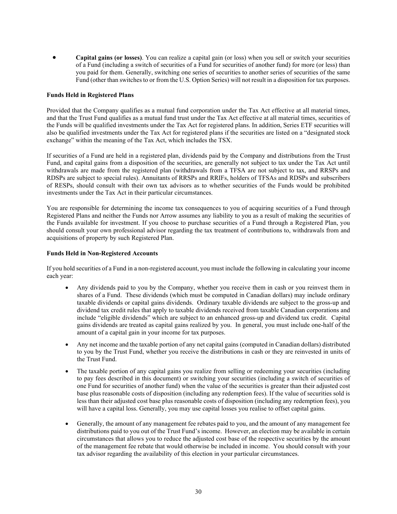• **Capital gains (or losses)**. You can realize a capital gain (or loss) when you sell or switch your securities of a Fund (including a switch of securities of a Fund for securities of another fund) for more (or less) than you paid for them. Generally, switching one series of securities to another series of securities of the same Fund (other than switches to or from the U.S. Option Series) will not result in a disposition for tax purposes.

#### **Funds Held in Registered Plans**

Provided that the Company qualifies as a mutual fund corporation under the Tax Act effective at all material times, and that the Trust Fund qualifies as a mutual fund trust under the Tax Act effective at all material times, securities of the Funds will be qualified investments under the Tax Act for registered plans. In addition, Series ETF securities will also be qualified investments under the Tax Act for registered plans if the securities are listed on a "designated stock exchange" within the meaning of the Tax Act, which includes the TSX.

If securities of a Fund are held in a registered plan, dividends paid by the Company and distributions from the Trust Fund, and capital gains from a disposition of the securities, are generally not subject to tax under the Tax Act until withdrawals are made from the registered plan (withdrawals from a TFSA are not subject to tax, and RRSPs and RDSPs are subject to special rules). Annuitants of RRSPs and RRIFs, holders of TFSAs and RDSPs and subscribers of RESPs, should consult with their own tax advisors as to whether securities of the Funds would be prohibited investments under the Tax Act in their particular circumstances.

You are responsible for determining the income tax consequences to you of acquiring securities of a Fund through Registered Plans and neither the Funds nor Arrow assumes any liability to you as a result of making the securities of the Funds available for investment. If you choose to purchase securities of a Fund through a Registered Plan, you should consult your own professional advisor regarding the tax treatment of contributions to, withdrawals from and acquisitions of property by such Registered Plan.

#### **Funds Held in Non-Registered Accounts**

If you hold securities of a Fund in a non-registered account, you must include the following in calculating your income each year:

- Any dividends paid to you by the Company, whether you receive them in cash or you reinvest them in shares of a Fund. These dividends (which must be computed in Canadian dollars) may include ordinary taxable dividends or capital gains dividends. Ordinary taxable dividends are subject to the gross-up and dividend tax credit rules that apply to taxable dividends received from taxable Canadian corporations and include "eligible dividends" which are subject to an enhanced gross-up and dividend tax credit. Capital gains dividends are treated as capital gains realized by you. In general, you must include one-half of the amount of a capital gain in your income for tax purposes.
- Any net income and the taxable portion of any net capital gains (computed in Canadian dollars) distributed to you by the Trust Fund, whether you receive the distributions in cash or they are reinvested in units of the Trust Fund.
- The taxable portion of any capital gains you realize from selling or redeeming your securities (including to pay fees described in this document) or switching your securities (including a switch of securities of one Fund for securities of another fund) when the value of the securities is greater than their adjusted cost base plus reasonable costs of disposition (including any redemption fees). If the value of securities sold is less than their adjusted cost base plus reasonable costs of disposition (including any redemption fees), you will have a capital loss. Generally, you may use capital losses you realise to offset capital gains.
- Generally, the amount of any management fee rebates paid to you, and the amount of any management fee distributions paid to you out of the Trust Fund's income. However, an election may be available in certain circumstances that allows you to reduce the adjusted cost base of the respective securities by the amount of the management fee rebate that would otherwise be included in income. You should consult with your tax advisor regarding the availability of this election in your particular circumstances.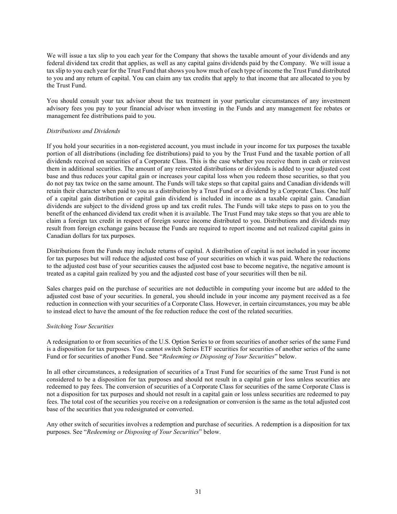We will issue a tax slip to you each year for the Company that shows the taxable amount of your dividends and any federal dividend tax credit that applies, as well as any capital gains dividends paid by the Company. We will issue a tax slip to you each year for the Trust Fund that shows you how much of each type of income the Trust Fund distributed to you and any return of capital. You can claim any tax credits that apply to that income that are allocated to you by the Trust Fund.

You should consult your tax advisor about the tax treatment in your particular circumstances of any investment advisory fees you pay to your financial advisor when investing in the Funds and any management fee rebates or management fee distributions paid to you.

## *Distributions and Dividends*

If you hold your securities in a non-registered account, you must include in your income for tax purposes the taxable portion of all distributions (including fee distributions) paid to you by the Trust Fund and the taxable portion of all dividends received on securities of a Corporate Class. This is the case whether you receive them in cash or reinvest them in additional securities. The amount of any reinvested distributions or dividends is added to your adjusted cost base and thus reduces your capital gain or increases your capital loss when you redeem those securities, so that you do not pay tax twice on the same amount. The Funds will take steps so that capital gains and Canadian dividends will retain their character when paid to you as a distribution by a Trust Fund or a dividend by a Corporate Class. One half of a capital gain distribution or capital gain dividend is included in income as a taxable capital gain. Canadian dividends are subject to the dividend gross up and tax credit rules. The Funds will take steps to pass on to you the benefit of the enhanced dividend tax credit when it is available. The Trust Fund may take steps so that you are able to claim a foreign tax credit in respect of foreign source income distributed to you. Distributions and dividends may result from foreign exchange gains because the Funds are required to report income and net realized capital gains in Canadian dollars for tax purposes.

Distributions from the Funds may include returns of capital. A distribution of capital is not included in your income for tax purposes but will reduce the adjusted cost base of your securities on which it was paid. Where the reductions to the adjusted cost base of your securities causes the adjusted cost base to become negative, the negative amount is treated as a capital gain realized by you and the adjusted cost base of your securities will then be nil.

Sales charges paid on the purchase of securities are not deductible in computing your income but are added to the adjusted cost base of your securities. In general, you should include in your income any payment received as a fee reduction in connection with your securities of a Corporate Class. However, in certain circumstances, you may be able to instead elect to have the amount of the fee reduction reduce the cost of the related securities.

#### *Switching Your Securities*

A redesignation to or from securities of the U.S. Option Series to or from securities of another series of the same Fund is a disposition for tax purposes. You cannot switch Series ETF securities for securities of another series of the same Fund or for securities of another Fund. See "*Redeeming or Disposing of Your Securities*" below.

In all other circumstances, a redesignation of securities of a Trust Fund for securities of the same Trust Fund is not considered to be a disposition for tax purposes and should not result in a capital gain or loss unless securities are redeemed to pay fees. The conversion of securities of a Corporate Class for securities of the same Corporate Class is not a disposition for tax purposes and should not result in a capital gain or loss unless securities are redeemed to pay fees. The total cost of the securities you receive on a redesignation or conversion is the same as the total adjusted cost base of the securities that you redesignated or converted.

Any other switch of securities involves a redemption and purchase of securities. A redemption is a disposition for tax purposes. See "*Redeeming or Disposing of Your Securities*" below.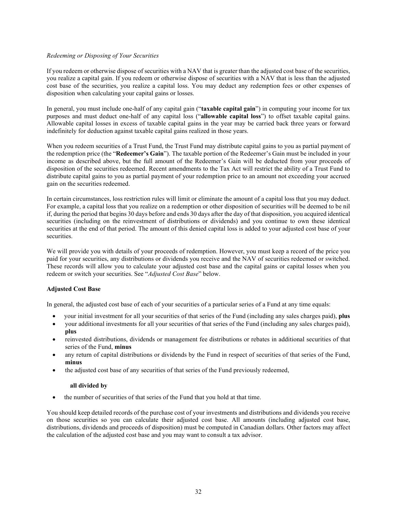#### *Redeeming or Disposing of Your Securities*

If you redeem or otherwise dispose of securities with a NAV that is greater than the adjusted cost base of the securities, you realize a capital gain. If you redeem or otherwise dispose of securities with a NAV that is less than the adjusted cost base of the securities, you realize a capital loss. You may deduct any redemption fees or other expenses of disposition when calculating your capital gains or losses.

In general, you must include one-half of any capital gain ("**taxable capital gain**") in computing your income for tax purposes and must deduct one-half of any capital loss ("**allowable capital loss**") to offset taxable capital gains. Allowable capital losses in excess of taxable capital gains in the year may be carried back three years or forward indefinitely for deduction against taxable capital gains realized in those years.

When you redeem securities of a Trust Fund, the Trust Fund may distribute capital gains to you as partial payment of the redemption price (the "**Redeemer's Gain**"). The taxable portion of the Redeemer's Gain must be included in your income as described above, but the full amount of the Redeemer's Gain will be deducted from your proceeds of disposition of the securities redeemed. Recent amendments to the Tax Act will restrict the ability of a Trust Fund to distribute capital gains to you as partial payment of your redemption price to an amount not exceeding your accrued gain on the securities redeemed.

In certain circumstances, loss restriction rules will limit or eliminate the amount of a capital loss that you may deduct. For example, a capital loss that you realize on a redemption or other disposition of securities will be deemed to be nil if, during the period that begins 30 days before and ends 30 days after the day of that disposition, you acquired identical securities (including on the reinvestment of distributions or dividends) and you continue to own these identical securities at the end of that period. The amount of this denied capital loss is added to your adjusted cost base of your securities.

We will provide you with details of your proceeds of redemption. However, you must keep a record of the price you paid for your securities, any distributions or dividends you receive and the NAV of securities redeemed or switched. These records will allow you to calculate your adjusted cost base and the capital gains or capital losses when you redeem or switch your securities. See "*Adjusted Cost Base*" below.

## **Adjusted Cost Base**

In general, the adjusted cost base of each of your securities of a particular series of a Fund at any time equals:

- your initial investment for all your securities of that series of the Fund (including any sales charges paid), **plus**
- your additional investments for all your securities of that series of the Fund (including any sales charges paid), **plus**
- reinvested distributions, dividends or management fee distributions or rebates in additional securities of that series of the Fund, **minus**
- any return of capital distributions or dividends by the Fund in respect of securities of that series of the Fund, **minus**
- the adjusted cost base of any securities of that series of the Fund previously redeemed,

#### **all divided by**

• the number of securities of that series of the Fund that you hold at that time.

You should keep detailed records of the purchase cost of your investments and distributions and dividends you receive on those securities so you can calculate their adjusted cost base. All amounts (including adjusted cost base, distributions, dividends and proceeds of disposition) must be computed in Canadian dollars. Other factors may affect the calculation of the adjusted cost base and you may want to consult a tax advisor.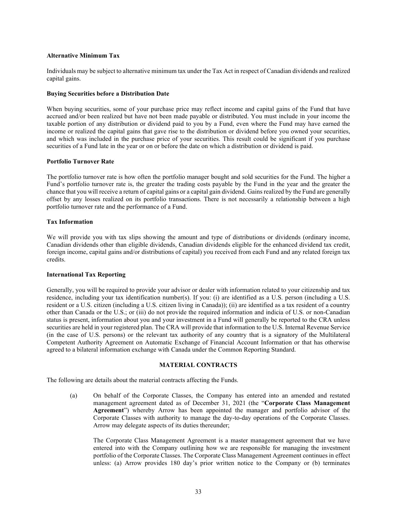#### **Alternative Minimum Tax**

Individuals may be subject to alternative minimum tax under the Tax Act in respect of Canadian dividends and realized capital gains.

#### **Buying Securities before a Distribution Date**

When buying securities, some of your purchase price may reflect income and capital gains of the Fund that have accrued and/or been realized but have not been made payable or distributed. You must include in your income the taxable portion of any distribution or dividend paid to you by a Fund, even where the Fund may have earned the income or realized the capital gains that gave rise to the distribution or dividend before you owned your securities, and which was included in the purchase price of your securities. This result could be significant if you purchase securities of a Fund late in the year or on or before the date on which a distribution or dividend is paid.

#### **Portfolio Turnover Rate**

The portfolio turnover rate is how often the portfolio manager bought and sold securities for the Fund. The higher a Fund's portfolio turnover rate is, the greater the trading costs payable by the Fund in the year and the greater the chance that you will receive a return of capital gains or a capital gain dividend. Gains realized by the Fund are generally offset by any losses realized on its portfolio transactions. There is not necessarily a relationship between a high portfolio turnover rate and the performance of a Fund.

#### **Tax Information**

We will provide you with tax slips showing the amount and type of distributions or dividends (ordinary income, Canadian dividends other than eligible dividends, Canadian dividends eligible for the enhanced dividend tax credit, foreign income, capital gains and/or distributions of capital) you received from each Fund and any related foreign tax credits.

## **International Tax Reporting**

Generally, you will be required to provide your advisor or dealer with information related to your citizenship and tax residence, including your tax identification number(s). If you: (i) are identified as a U.S. person (including a U.S. resident or a U.S. citizen (including a U.S. citizen living in Canada)); (ii) are identified as a tax resident of a country other than Canada or the U.S.; or (iii) do not provide the required information and indicia of U.S. or non-Canadian status is present, information about you and your investment in a Fund will generally be reported to the CRA unless securities are held in your registered plan. The CRA will provide that information to the U.S. Internal Revenue Service (in the case of U.S. persons) or the relevant tax authority of any country that is a signatory of the Multilateral Competent Authority Agreement on Automatic Exchange of Financial Account Information or that has otherwise agreed to a bilateral information exchange with Canada under the Common Reporting Standard.

#### **MATERIAL CONTRACTS**

<span id="page-33-0"></span>The following are details about the material contracts affecting the Funds.

(a) On behalf of the Corporate Classes, the Company has entered into an amended and restated management agreement dated as of December 31, 2021 (the "**Corporate Class Management Agreement**") whereby Arrow has been appointed the manager and portfolio advisor of the Corporate Classes with authority to manage the day-to-day operations of the Corporate Classes. Arrow may delegate aspects of its duties thereunder;

The Corporate Class Management Agreement is a master management agreement that we have entered into with the Company outlining how we are responsible for managing the investment portfolio of the Corporate Classes. The Corporate Class Management Agreement continues in effect unless: (a) Arrow provides 180 day's prior written notice to the Company or (b) terminates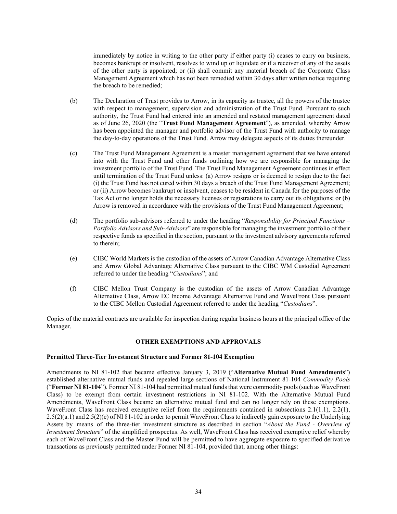immediately by notice in writing to the other party if either party (i) ceases to carry on business, becomes bankrupt or insolvent, resolves to wind up or liquidate or if a receiver of any of the assets of the other party is appointed; or (ii) shall commit any material breach of the Corporate Class Management Agreement which has not been remedied within 30 days after written notice requiring the breach to be remedied;

- (b) The Declaration of Trust provides to Arrow, in its capacity as trustee, all the powers of the trustee with respect to management, supervision and administration of the Trust Fund. Pursuant to such authority, the Trust Fund had entered into an amended and restated management agreement dated as of June 26, 2020 (the "**Trust Fund Management Agreement**"), as amended, whereby Arrow has been appointed the manager and portfolio advisor of the Trust Fund with authority to manage the day-to-day operations of the Trust Fund. Arrow may delegate aspects of its duties thereunder.
- (c) The Trust Fund Management Agreement is a master management agreement that we have entered into with the Trust Fund and other funds outlining how we are responsible for managing the investment portfolio of the Trust Fund. The Trust Fund Management Agreement continues in effect until termination of the Trust Fund unless: (a) Arrow resigns or is deemed to resign due to the fact (i) the Trust Fund has not cured within 30 days a breach of the Trust Fund Management Agreement; or (ii) Arrow becomes bankrupt or insolvent, ceases to be resident in Canada for the purposes of the Tax Act or no longer holds the necessary licenses or registrations to carry out its obligations; or (b) Arrow is removed in accordance with the provisions of the Trust Fund Management Agreement;
- (d) The portfolio sub-advisors referred to under the heading "*Responsibility for Principal Functions – Portfolio Advisors and Sub-Advisors*" are responsible for managing the investment portfolio of their respective funds as specified in the section, pursuant to the investment advisory agreements referred to therein;
- (e) CIBC World Markets is the custodian of the assets of Arrow Canadian Advantage Alternative Class and Arrow Global Advantage Alternative Class pursuant to the CIBC WM Custodial Agreement referred to under the heading "*Custodians*"; and
- (f) CIBC Mellon Trust Company is the custodian of the assets of Arrow Canadian Advantage Alternative Class, Arrow EC Income Advantage Alternative Fund and WaveFront Class pursuant to the CIBC Mellon Custodial Agreement referred to under the heading "*Custodians*".

Copies of the material contracts are available for inspection during regular business hours at the principal office of the Manager.

## **OTHER EXEMPTIONS AND APPROVALS**

#### <span id="page-34-0"></span>**Permitted Three-Tier Investment Structure and Former 81-104 Exemption**

Amendments to NI 81-102 that became effective January 3, 2019 ("**Alternative Mutual Fund Amendments**") established alternative mutual funds and repealed large sections of National Instrument 81-104 *Commodity Pools* ("**Former NI 81-104**"). Former NI 81-104 had permitted mutual funds that were commodity pools (such as WaveFront Class) to be exempt from certain investment restrictions in NI 81-102. With the Alternative Mutual Fund Amendments, WaveFront Class became an alternative mutual fund and can no longer rely on these exemptions. WaveFront Class has received exemptive relief from the requirements contained in subsections 2.1(1.1), 2.2(1), 2.5(2)(a.1) and 2.5(2)(c) of NI 81-102 in order to permit WaveFront Class to indirectly gain exposure to the Underlying Assets by means of the three-tier investment structure as described in section "*About the Fund - Overview of Investment Structure*" of the simplified prospectus. As well, WaveFront Class has received exemptive relief whereby each of WaveFront Class and the Master Fund will be permitted to have aggregate exposure to specified derivative transactions as previously permitted under Former NI 81-104, provided that, among other things: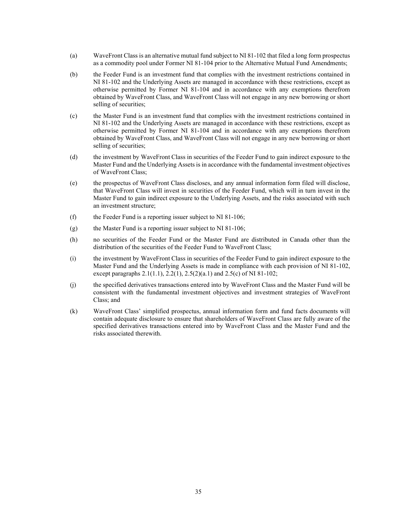- (a) WaveFront Class is an alternative mutual fund subject to NI 81-102 that filed a long form prospectus as a commodity pool under Former NI 81-104 prior to the Alternative Mutual Fund Amendments;
- (b) the Feeder Fund is an investment fund that complies with the investment restrictions contained in NI 81-102 and the Underlying Assets are managed in accordance with these restrictions, except as otherwise permitted by Former NI 81-104 and in accordance with any exemptions therefrom obtained by WaveFront Class, and WaveFront Class will not engage in any new borrowing or short selling of securities;
- (c) the Master Fund is an investment fund that complies with the investment restrictions contained in NI 81-102 and the Underlying Assets are managed in accordance with these restrictions, except as otherwise permitted by Former NI 81-104 and in accordance with any exemptions therefrom obtained by WaveFront Class, and WaveFront Class will not engage in any new borrowing or short selling of securities;
- (d) the investment by WaveFront Class in securities of the Feeder Fund to gain indirect exposure to the Master Fund and the Underlying Assets is in accordance with the fundamental investment objectives of WaveFront Class;
- (e) the prospectus of WaveFront Class discloses, and any annual information form filed will disclose, that WaveFront Class will invest in securities of the Feeder Fund, which will in turn invest in the Master Fund to gain indirect exposure to the Underlying Assets, and the risks associated with such an investment structure;
- (f) the Feeder Fund is a reporting issuer subject to NI 81-106;
- (g) the Master Fund is a reporting issuer subject to NI 81-106;
- (h) no securities of the Feeder Fund or the Master Fund are distributed in Canada other than the distribution of the securities of the Feeder Fund to WaveFront Class;
- (i) the investment by WaveFront Class in securities of the Feeder Fund to gain indirect exposure to the Master Fund and the Underlying Assets is made in compliance with each provision of NI 81-102, except paragraphs 2.1(1.1), 2.2(1), 2.5(2)(a.1) and 2.5(c) of NI 81-102;
- (j) the specified derivatives transactions entered into by WaveFront Class and the Master Fund will be consistent with the fundamental investment objectives and investment strategies of WaveFront Class; and
- (k) WaveFront Class' simplified prospectus, annual information form and fund facts documents will contain adequate disclosure to ensure that shareholders of WaveFront Class are fully aware of the specified derivatives transactions entered into by WaveFront Class and the Master Fund and the risks associated therewith.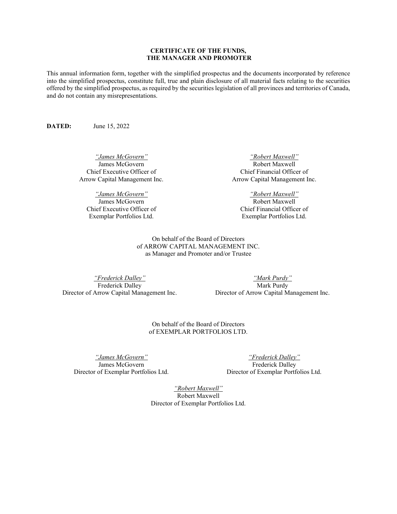## **CERTIFICATE OF THE FUNDS, THE MANAGER AND PROMOTER**

<span id="page-36-0"></span>This annual information form, together with the simplified prospectus and the documents incorporated by reference into the simplified prospectus, constitute full, true and plain disclosure of all material facts relating to the securities offered by the simplified prospectus, as required by the securities legislation of all provinces and territories of Canada, and do not contain any misrepresentations.

**DATED:** June 15, 2022

*"James McGovern"* James McGovern Chief Executive Officer of Arrow Capital Management Inc.

*"James McGovern"* James McGovern Chief Executive Officer of Exemplar Portfolios Ltd.

*"Robert Maxwell"* Robert Maxwell Chief Financial Officer of Arrow Capital Management Inc.

*"Robert Maxwell"* Robert Maxwell Chief Financial Officer of Exemplar Portfolios Ltd.

On behalf of the Board of Directors of ARROW CAPITAL MANAGEMENT INC. as Manager and Promoter and/or Trustee

*"Frederick Dalley"* Frederick Dalley Director of Arrow Capital Management Inc.

*"Mark Purdy"* Mark Purdy Director of Arrow Capital Management Inc.

On behalf of the Board of Directors of EXEMPLAR PORTFOLIOS LTD.

*"James McGovern"* James McGovern Director of Exemplar Portfolios Ltd.

*"Frederick Dalley"* Frederick Dalley Director of Exemplar Portfolios Ltd.

*"Robert Maxwell"* Robert Maxwell Director of Exemplar Portfolios Ltd.